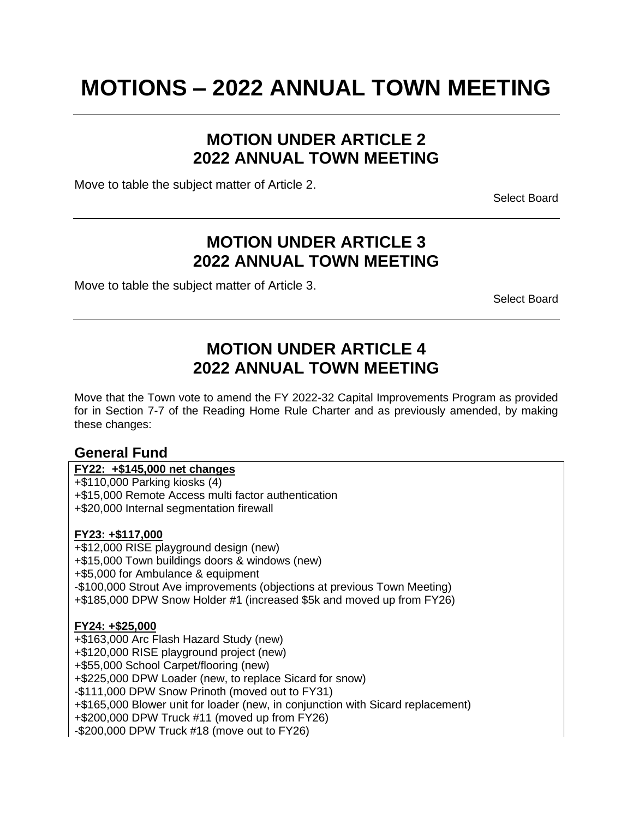# **MOTIONS – 2022 ANNUAL TOWN MEETING**

### **MOTION UNDER ARTICLE 2 2022 ANNUAL TOWN MEETING**

Move to table the subject matter of Article 2.

Select Board

### **MOTION UNDER ARTICLE 3 2022 ANNUAL TOWN MEETING**

Move to table the subject matter of Article 3.

Select Board

### **MOTION UNDER ARTICLE 4 2022 ANNUAL TOWN MEETING**

Move that the Town vote to amend the FY 2022-32 Capital Improvements Program as provided for in Section 7-7 of the Reading Home Rule Charter and as previously amended, by making these changes:

### **General Fund**

### **FY22: +\$145,000 net changes**

+\$110,000 Parking kiosks (4) +\$15,000 Remote Access multi factor authentication +\$20,000 Internal segmentation firewall

#### **FY23: +\$117,000**

+\$12,000 RISE playground design (new) +\$15,000 Town buildings doors & windows (new) +\$5,000 for Ambulance & equipment -\$100,000 Strout Ave improvements (objections at previous Town Meeting) +\$185,000 DPW Snow Holder #1 (increased \$5k and moved up from FY26)

#### **FY24: +\$25,000**

+\$163,000 Arc Flash Hazard Study (new) +\$120,000 RISE playground project (new) +\$55,000 School Carpet/flooring (new) +\$225,000 DPW Loader (new, to replace Sicard for snow) -\$111,000 DPW Snow Prinoth (moved out to FY31) +\$165,000 Blower unit for loader (new, in conjunction with Sicard replacement) +\$200,000 DPW Truck #11 (moved up from FY26) -\$200,000 DPW Truck #18 (move out to FY26)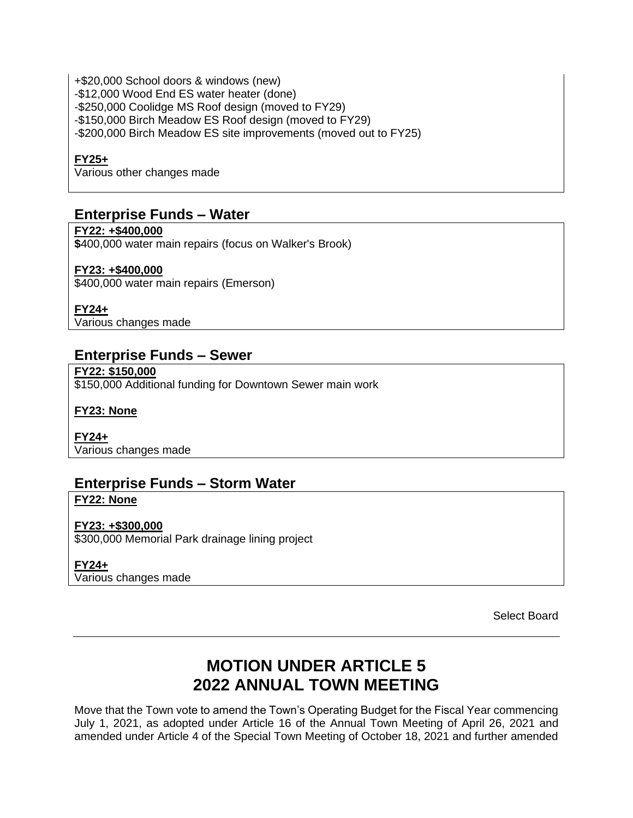+\$20,000 School doors & windows (new) -\$12,000 Wood End ES water heater (done) -\$250,000 Coolidge MS Roof design (moved to FY29) -\$150,000 Birch Meadow ES Roof design (moved to FY29) -\$200,000 Birch Meadow ES site improvements (moved out to FY25)

#### **FY25+**

Various other changes made

### **Enterprise Funds – Water**

**FY22: +\$400,000 \$**400,000 water main repairs (focus on Walker's Brook)

#### **FY23: +\$400,000**

\$400,000 water main repairs (Emerson)

**FY24+**

Various changes made

### **Enterprise Funds – Sewer**

**FY22: \$150,000** \$150,000 Additional funding for Downtown Sewer main work

**FY23: None**

**FY24+** Various changes made

### **Enterprise Funds – Storm Water**

**FY22: None**

**FY23: +\$300,000** \$300,000 Memorial Park drainage lining project

**FY24+**

Various changes made

Select Board

### **MOTION UNDER ARTICLE 5 2022 ANNUAL TOWN MEETING**

Move that the Town vote to amend the Town's Operating Budget for the Fiscal Year commencing July 1, 2021, as adopted under Article 16 of the Annual Town Meeting of April 26, 2021 and amended under Article 4 of the Special Town Meeting of October 18, 2021 and further amended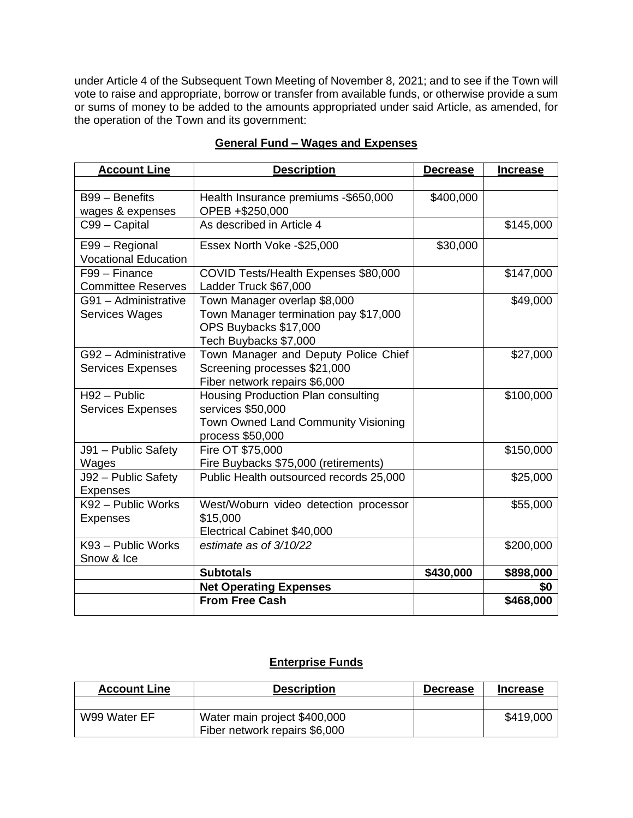under Article 4 of the Subsequent Town Meeting of November 8, 2021; and to see if the Town will vote to raise and appropriate, borrow or transfer from available funds, or otherwise provide a sum or sums of money to be added to the amounts appropriated under said Article, as amended, for the operation of the Town and its government:

| <b>Account Line</b>         | <b>Description</b>                      | <b>Decrease</b> | <b>Increase</b> |
|-----------------------------|-----------------------------------------|-----------------|-----------------|
|                             |                                         |                 |                 |
| B99 - Benefits              | Health Insurance premiums -\$650,000    | \$400,000       |                 |
| wages & expenses            | OPEB +\$250,000                         |                 |                 |
| C99 - Capital               | As described in Article 4               |                 | \$145,000       |
| E99 - Regional              | Essex North Voke -\$25,000              | \$30,000        |                 |
| <b>Vocational Education</b> |                                         |                 |                 |
| F99 - Finance               | COVID Tests/Health Expenses \$80,000    |                 | \$147,000       |
| <b>Committee Reserves</b>   | Ladder Truck \$67,000                   |                 |                 |
| G91 - Administrative        | Town Manager overlap \$8,000            |                 | \$49,000        |
| Services Wages              | Town Manager termination pay \$17,000   |                 |                 |
|                             | OPS Buybacks \$17,000                   |                 |                 |
|                             | Tech Buybacks \$7,000                   |                 |                 |
| G92 - Administrative        | Town Manager and Deputy Police Chief    |                 | \$27,000        |
| <b>Services Expenses</b>    | Screening processes \$21,000            |                 |                 |
|                             | Fiber network repairs \$6,000           |                 |                 |
| $H92 - Public$              | Housing Production Plan consulting      |                 | \$100,000       |
| <b>Services Expenses</b>    | services \$50,000                       |                 |                 |
|                             | Town Owned Land Community Visioning     |                 |                 |
|                             | process \$50,000                        |                 |                 |
| J91 - Public Safety         | Fire OT \$75,000                        |                 | \$150,000       |
| Wages                       | Fire Buybacks \$75,000 (retirements)    |                 |                 |
| J92 - Public Safety         | Public Health outsourced records 25,000 |                 | \$25,000        |
| <b>Expenses</b>             |                                         |                 |                 |
| K92 - Public Works          | West/Woburn video detection processor   |                 | \$55,000        |
| <b>Expenses</b>             | \$15,000                                |                 |                 |
|                             | Electrical Cabinet \$40,000             |                 |                 |
| K93 - Public Works          | estimate as of 3/10/22                  |                 | \$200,000       |
| Snow & Ice                  |                                         |                 |                 |
|                             | <b>Subtotals</b>                        | \$430,000       | \$898,000       |
|                             | <b>Net Operating Expenses</b>           |                 | \$0             |
|                             | <b>From Free Cash</b>                   |                 | \$468,000       |

### **General Fund – Wages and Expenses**

### **Enterprise Funds**

| <b>Account Line</b> | <b>Description</b>            | <b>Decrease</b> | <b>Increase</b> |
|---------------------|-------------------------------|-----------------|-----------------|
|                     |                               |                 |                 |
| W99 Water EF        | Water main project \$400,000  |                 | \$419,000       |
|                     | Fiber network repairs \$6,000 |                 |                 |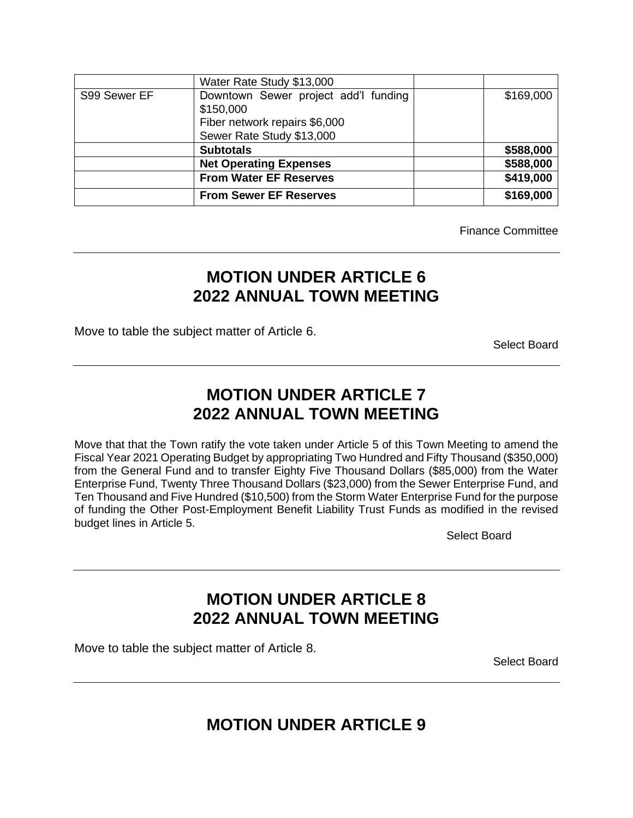|              | Water Rate Study \$13,000            |           |
|--------------|--------------------------------------|-----------|
| S99 Sewer EF | Downtown Sewer project add'l funding | \$169,000 |
|              | \$150,000                            |           |
|              | Fiber network repairs \$6,000        |           |
|              | Sewer Rate Study \$13,000            |           |
|              | <b>Subtotals</b>                     | \$588,000 |
|              | <b>Net Operating Expenses</b>        | \$588,000 |
|              | <b>From Water EF Reserves</b>        | \$419,000 |
|              | <b>From Sewer EF Reserves</b>        | \$169,000 |

Finance Committee

## **MOTION UNDER ARTICLE 6 2022 ANNUAL TOWN MEETING**

Move to table the subject matter of Article 6.

Select Board

## **MOTION UNDER ARTICLE 7 2022 ANNUAL TOWN MEETING**

Move that that the Town ratify the vote taken under Article 5 of this Town Meeting to amend the Fiscal Year 2021 Operating Budget by appropriating Two Hundred and Fifty Thousand (\$350,000) from the General Fund and to transfer Eighty Five Thousand Dollars (\$85,000) from the Water Enterprise Fund, Twenty Three Thousand Dollars (\$23,000) from the Sewer Enterprise Fund, and Ten Thousand and Five Hundred (\$10,500) from the Storm Water Enterprise Fund for the purpose of funding the Other Post-Employment Benefit Liability Trust Funds as modified in the revised budget lines in Article 5.

Select Board

## **MOTION UNDER ARTICLE 8 2022 ANNUAL TOWN MEETING**

Move to table the subject matter of Article 8.

Select Board

**MOTION UNDER ARTICLE 9**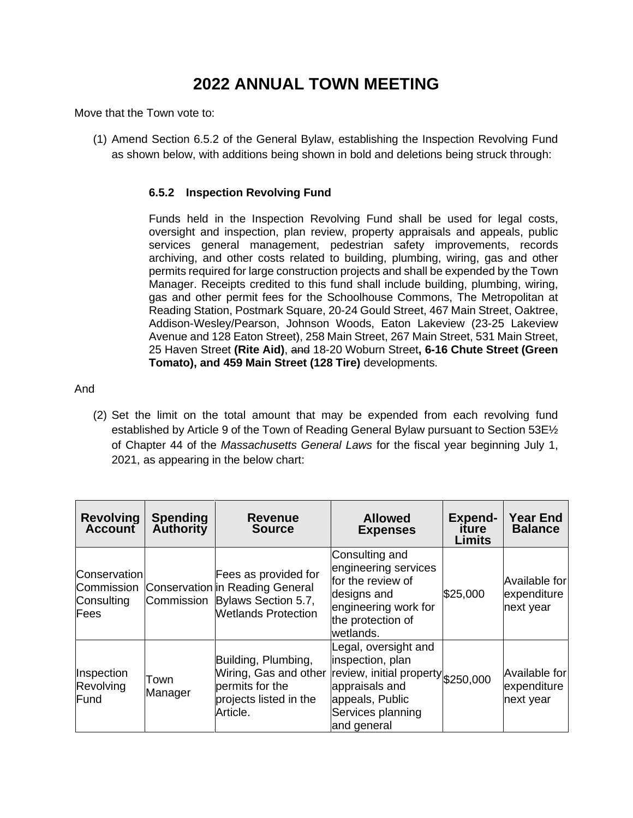## **2022 ANNUAL TOWN MEETING**

Move that the Town vote to:

(1) Amend Section 6.5.2 of the General Bylaw, establishing the Inspection Revolving Fund as shown below, with additions being shown in bold and deletions being struck through:

#### **6.5.2 Inspection Revolving Fund**

Funds held in the Inspection Revolving Fund shall be used for legal costs, oversight and inspection, plan review, property appraisals and appeals, public services general management, pedestrian safety improvements, records archiving, and other costs related to building, plumbing, wiring, gas and other permits required for large construction projects and shall be expended by the Town Manager. Receipts credited to this fund shall include building, plumbing, wiring, gas and other permit fees for the Schoolhouse Commons, The Metropolitan at Reading Station, Postmark Square, 20-24 Gould Street, 467 Main Street, Oaktree, Addison-Wesley/Pearson, Johnson Woods, Eaton Lakeview (23-25 Lakeview Avenue and 128 Eaton Street), 258 Main Street, 267 Main Street, 531 Main Street, 25 Haven Street **(Rite Aid)**, and 18-20 Woburn Street**, 6-16 Chute Street (Green Tomato), and 459 Main Street (128 Tire)** developments.

And

(2) Set the limit on the total amount that may be expended from each revolving fund established by Article 9 of the Town of Reading General Bylaw pursuant to Section 53E½ of Chapter 44 of the *Massachusetts General Laws* for the fiscal year beginning July 1, 2021, as appearing in the below chart:

| <b>Revolving</b><br><b>Account</b>                      | <b>Spending</b><br>Authority | <b>Revenue</b><br><b>Source</b>                                                                                         | <b>Allowed</b><br><b>Expenses</b>                                                                                                                       | <b>Expend-</b><br>iture<br>Limits | Year End<br><b>Balance</b>                |
|---------------------------------------------------------|------------------------------|-------------------------------------------------------------------------------------------------------------------------|---------------------------------------------------------------------------------------------------------------------------------------------------------|-----------------------------------|-------------------------------------------|
| Conservation<br>Commission<br>Consulting<br><b>Fees</b> |                              | Fees as provided for<br>Conservation in Reading General<br>Commission Bylaws Section 5.7,<br><b>Wetlands Protection</b> | Consulting and<br>engineering services<br>for the review of<br>designs and<br>engineering work for<br>the protection of<br>wetlands.                    | \$25,000                          | Available for<br>expenditure<br>next year |
| Inspection<br>Revolving<br>Fund                         | Town<br>Manager              | Building, Plumbing,<br>Wiring, Gas and other<br>permits for the<br>projects listed in the<br>Article.                   | Legal, oversight and<br>inspection, plan<br>review, initial property \$250,000<br>appraisals and<br>appeals, Public<br>Services planning<br>and general |                                   | Available for<br>expenditure<br>next year |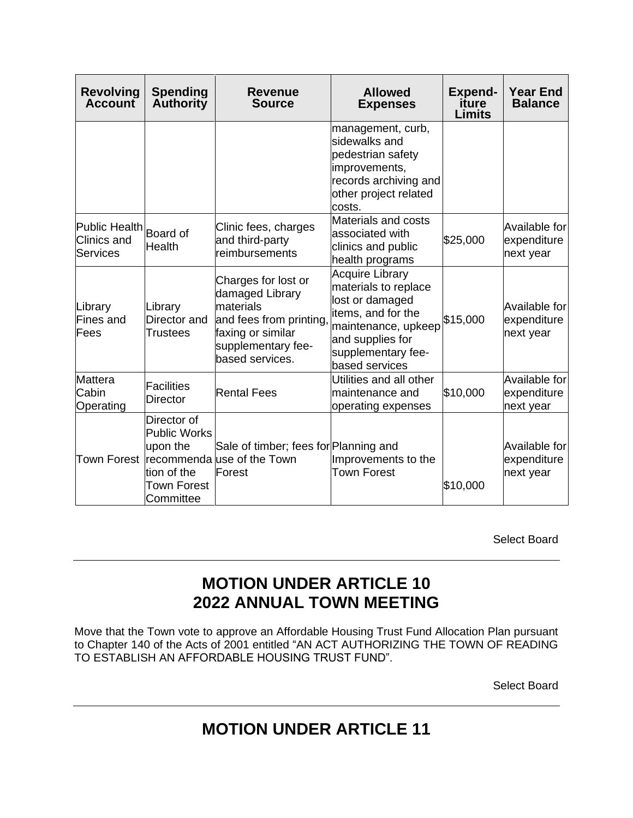| <b>Revolving</b><br><b>Account</b>                     | <b>Spending</b><br>Authority                                                                     | <b>Revenue</b><br><b>Source</b>                                                                                                             | <b>Allowed</b><br><b>Expenses</b>                                                                                                                                          | <b>Expend-</b><br>iture<br><b>Limits</b> | <b>Year End</b><br><b>Balance</b>         |
|--------------------------------------------------------|--------------------------------------------------------------------------------------------------|---------------------------------------------------------------------------------------------------------------------------------------------|----------------------------------------------------------------------------------------------------------------------------------------------------------------------------|------------------------------------------|-------------------------------------------|
|                                                        |                                                                                                  |                                                                                                                                             | management, curb,<br>sidewalks and<br>pedestrian safety<br>improvements,<br>records archiving and<br>other project related<br>costs.                                       |                                          |                                           |
| <b>Public Health</b><br><b>Clinics and</b><br>Services | <b>Board of</b><br><b>Health</b>                                                                 | Clinic fees, charges<br>and third-party<br>reimbursements                                                                                   | Materials and costs<br>associated with<br>clinics and public<br>health programs                                                                                            | \$25,000                                 | Available for<br>expenditure<br>next year |
| Library<br><b>Fines and</b><br>Fees                    | Library<br>Director and<br>Trustees                                                              | Charges for lost or<br>damaged Library<br>materials<br>and fees from printing<br>faxing or similar<br>supplementary fee-<br>based services. | <b>Acquire Library</b><br>materials to replace<br>lost or damaged<br>items, and for the<br>maintenance, upkeep<br>and supplies for<br>supplementary fee-<br>based services | \$15,000                                 | Available for<br>expenditure<br>next year |
| <b>Mattera</b><br>Cabin<br>Operating                   | <b>Facilities</b><br><b>Director</b>                                                             | <b>Rental Fees</b>                                                                                                                          | Utilities and all other<br>maintenance and<br>operating expenses                                                                                                           | \$10,000                                 | Available for<br>expenditure<br>next year |
|                                                        | Director of<br><b>Public Works</b><br>upon the<br>tion of the<br><b>Town Forest</b><br>Committee | Sale of timber; fees for Planning and<br>Town Forest  recommenda use of the Town<br>Forest                                                  | Improvements to the<br><b>Town Forest</b>                                                                                                                                  | \$10,000                                 | Available for<br>expenditure<br>next year |

Select Board

## **MOTION UNDER ARTICLE 10 2022 ANNUAL TOWN MEETING**

Move that the Town vote to approve an Affordable Housing Trust Fund Allocation Plan pursuant to Chapter 140 of the Acts of 2001 entitled "AN ACT AUTHORIZING THE TOWN OF READING TO ESTABLISH AN AFFORDABLE HOUSING TRUST FUND".

Select Board

## **MOTION UNDER ARTICLE 11**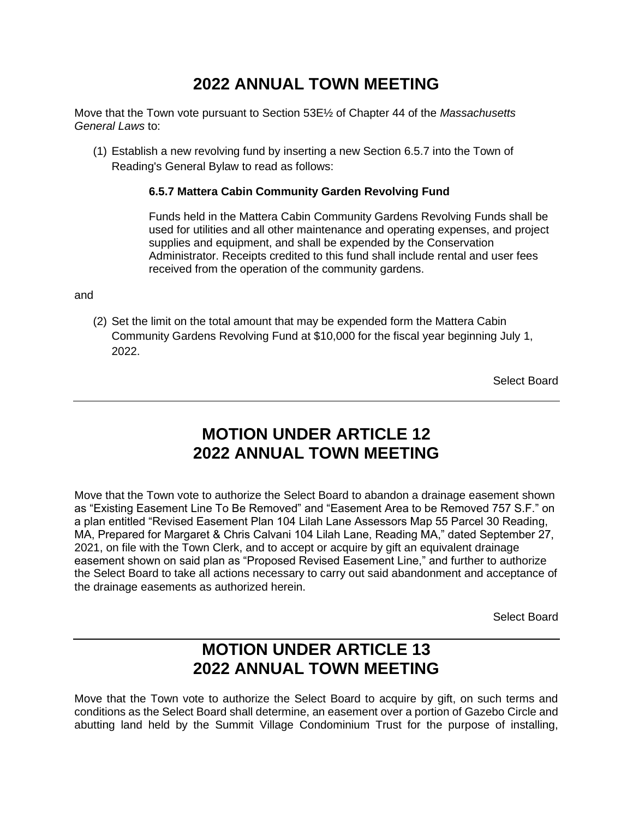## **2022 ANNUAL TOWN MEETING**

Move that the Town vote pursuant to Section 53E½ of Chapter 44 of the *Massachusetts General Laws* to:

(1) Establish a new revolving fund by inserting a new Section 6.5.7 into the Town of Reading's General Bylaw to read as follows:

### **6.5.7 Mattera Cabin Community Garden Revolving Fund**

Funds held in the Mattera Cabin Community Gardens Revolving Funds shall be used for utilities and all other maintenance and operating expenses, and project supplies and equipment, and shall be expended by the Conservation Administrator. Receipts credited to this fund shall include rental and user fees received from the operation of the community gardens.

and

(2) Set the limit on the total amount that may be expended form the Mattera Cabin Community Gardens Revolving Fund at \$10,000 for the fiscal year beginning July 1, 2022.

Select Board

### **MOTION UNDER ARTICLE 12 2022 ANNUAL TOWN MEETING**

Move that the Town vote to authorize the Select Board to abandon a drainage easement shown as "Existing Easement Line To Be Removed" and "Easement Area to be Removed 757 S.F." on a plan entitled "Revised Easement Plan 104 Lilah Lane Assessors Map 55 Parcel 30 Reading, MA, Prepared for Margaret & Chris Calvani 104 Lilah Lane, Reading MA," dated September 27, 2021, on file with the Town Clerk, and to accept or acquire by gift an equivalent drainage easement shown on said plan as "Proposed Revised Easement Line," and further to authorize the Select Board to take all actions necessary to carry out said abandonment and acceptance of the drainage easements as authorized herein.

Select Board

### **MOTION UNDER ARTICLE 13 2022 ANNUAL TOWN MEETING**

Move that the Town vote to authorize the Select Board to acquire by gift, on such terms and conditions as the Select Board shall determine, an easement over a portion of Gazebo Circle and abutting land held by the Summit Village Condominium Trust for the purpose of installing,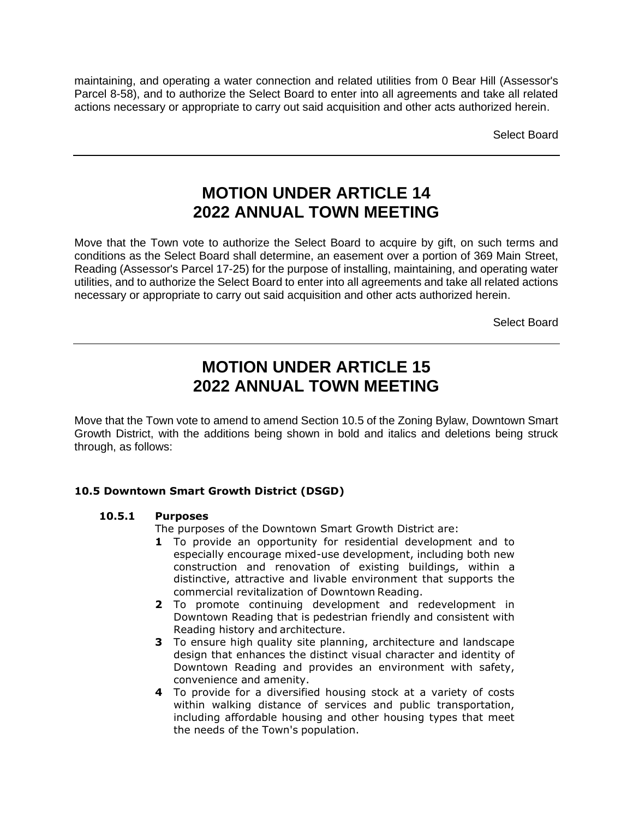maintaining, and operating a water connection and related utilities from 0 Bear Hill (Assessor's Parcel 8-58), and to authorize the Select Board to enter into all agreements and take all related actions necessary or appropriate to carry out said acquisition and other acts authorized herein.

Select Board

### **MOTION UNDER ARTICLE 14 2022 ANNUAL TOWN MEETING**

Move that the Town vote to authorize the Select Board to acquire by gift, on such terms and conditions as the Select Board shall determine, an easement over a portion of 369 Main Street, Reading (Assessor's Parcel 17-25) for the purpose of installing, maintaining, and operating water utilities, and to authorize the Select Board to enter into all agreements and take all related actions necessary or appropriate to carry out said acquisition and other acts authorized herein.

Select Board

### **MOTION UNDER ARTICLE 15 2022 ANNUAL TOWN MEETING**

Move that the Town vote to amend to amend Section 10.5 of the Zoning Bylaw, Downtown Smart Growth District, with the additions being shown in bold and italics and deletions being struck through, as follows:

#### **10.5 Downtown Smart Growth District (DSGD)**

#### **10.5.1 Purposes**

The purposes of the Downtown Smart Growth District are:

- **1** To provide an opportunity for residential development and to especially encourage mixed-use development, including both new construction and renovation of existing buildings, within a distinctive, attractive and livable environment that supports the commercial revitalization of Downtown Reading.
- **2** To promote continuing development and redevelopment in Downtown Reading that is pedestrian friendly and consistent with Reading history and architecture.
- **3** To ensure high quality site planning, architecture and landscape design that enhances the distinct visual character and identity of Downtown Reading and provides an environment with safety, convenience and amenity.
- **4** To provide for a diversified housing stock at a variety of costs within walking distance of services and public transportation, including affordable housing and other housing types that meet the needs of the Town's population.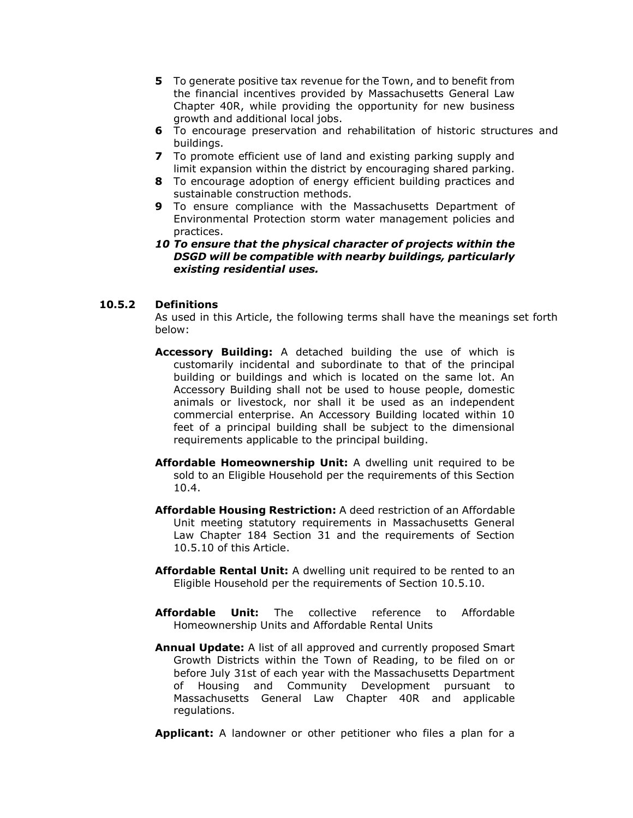- **5** To generate positive tax revenue for the Town, and to benefit from the financial incentives provided by Massachusetts General Law Chapter 40R, while providing the opportunity for new business growth and additional local jobs.
- **6** To encourage preservation and rehabilitation of historic structures and buildings.
- **7** To promote efficient use of land and existing parking supply and limit expansion within the district by encouraging shared parking.
- **8** To encourage adoption of energy efficient building practices and sustainable construction methods.
- **9** To ensure compliance with the Massachusetts Department of Environmental Protection storm water management policies and practices.
- *10 To ensure that the physical character of projects within the DSGD will be compatible with nearby buildings, particularly existing residential uses.*

#### **10.5.2 Definitions**

As used in this Article, the following terms shall have the meanings set forth below:

- **Accessory Building:** A detached building the use of which is customarily incidental and subordinate to that of the principal building or buildings and which is located on the same lot. An Accessory Building shall not be used to house people, domestic animals or livestock, nor shall it be used as an independent commercial enterprise. An Accessory Building located within 10 feet of a principal building shall be subject to the dimensional requirements applicable to the principal building.
- **Affordable Homeownership Unit:** A dwelling unit required to be sold to an Eligible Household per the requirements of this Section 10.4.
- **Affordable Housing Restriction:** A deed restriction of an Affordable Unit meeting statutory requirements in Massachusetts General Law Chapter 184 Section 31 and the requirements of Section 10.5.10 of this Article.
- **Affordable Rental Unit:** A dwelling unit required to be rented to an Eligible Household per the requirements of Section 10.5.10.
- **Affordable Unit:** The collective reference to Affordable Homeownership Units and Affordable Rental Units
- **Annual Update:** A list of all approved and currently proposed Smart Growth Districts within the Town of Reading, to be filed on or before July 31st of each year with the Massachusetts Department of Housing and Community Development pursuant to Massachusetts General Law Chapter 40R and applicable regulations.

**Applicant:** A landowner or other petitioner who files a plan for a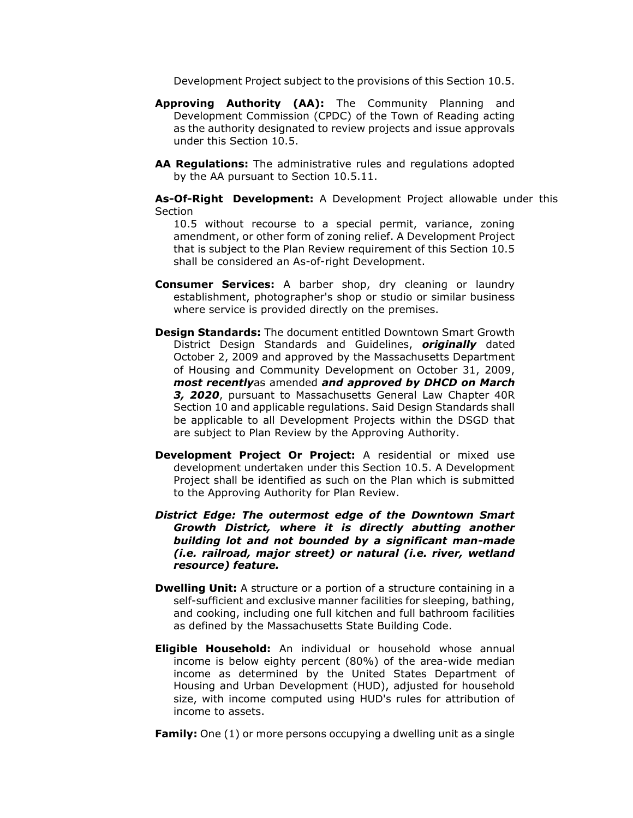Development Project subject to the provisions of this Section 10.5.

- **Approving Authority (AA):** The Community Planning and Development Commission (CPDC) of the Town of Reading acting as the authority designated to review projects and issue approvals under this Section 10.5.
- **AA Regulations:** The administrative rules and regulations adopted by the AA pursuant to Section 10.5.11.

**As-Of-Right Development:** A Development Project allowable under this Section

10.5 without recourse to a special permit, variance, zoning amendment, or other form of zoning relief. A Development Project that is subject to the Plan Review requirement of this Section 10.5 shall be considered an As-of-right Development.

- **Consumer Services:** A barber shop, dry cleaning or laundry establishment, photographer's shop or studio or similar business where service is provided directly on the premises.
- **Design Standards:** The document entitled Downtown Smart Growth District Design Standards and Guidelines, *originally* dated October 2, 2009 and approved by the Massachusetts Department of Housing and Community Development on October 31, 2009, *most recently*as amended *and approved by DHCD on March 3, 2020*, pursuant to Massachusetts General Law Chapter 40R Section 10 and applicable regulations. Said Design Standards shall be applicable to all Development Projects within the DSGD that are subject to Plan Review by the Approving Authority.
- **Development Project Or Project:** A residential or mixed use development undertaken under this Section 10.5. A Development Project shall be identified as such on the Plan which is submitted to the Approving Authority for Plan Review.
- *District Edge: The outermost edge of the Downtown Smart Growth District, where it is directly abutting another building lot and not bounded by a significant man-made (i.e. railroad, major street) or natural (i.e. river, wetland resource) feature.*
- **Dwelling Unit:** A structure or a portion of a structure containing in a self-sufficient and exclusive manner facilities for sleeping, bathing, and cooking, including one full kitchen and full bathroom facilities as defined by the Massachusetts State Building Code.
- **Eligible Household:** An individual or household whose annual income is below eighty percent (80%) of the area-wide median income as determined by the United States Department of Housing and Urban Development (HUD), adjusted for household size, with income computed using HUD's rules for attribution of income to assets.

**Family:** One (1) or more persons occupying a dwelling unit as a single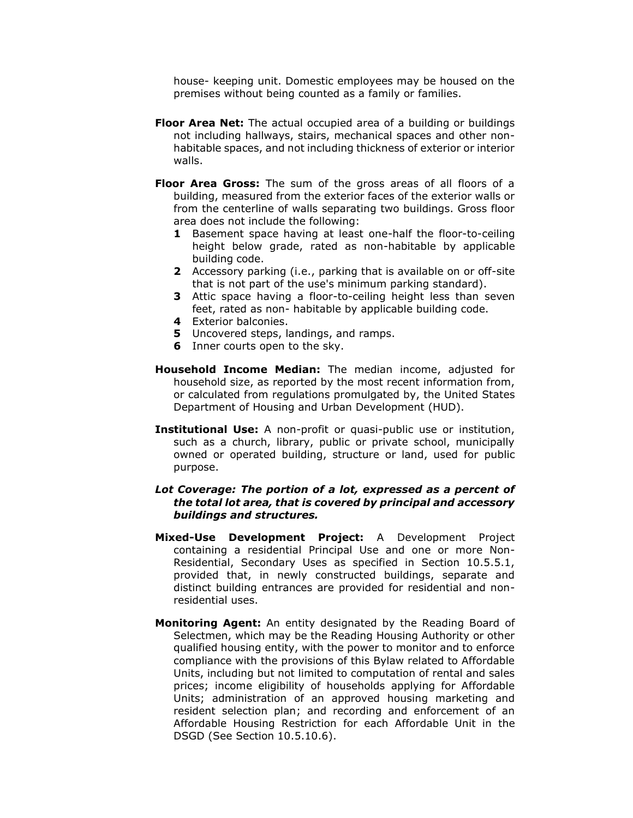house- keeping unit. Domestic employees may be housed on the premises without being counted as a family or families.

- **Floor Area Net:** The actual occupied area of a building or buildings not including hallways, stairs, mechanical spaces and other nonhabitable spaces, and not including thickness of exterior or interior walls.
- **Floor Area Gross:** The sum of the gross areas of all floors of a building, measured from the exterior faces of the exterior walls or from the centerline of walls separating two buildings. Gross floor area does not include the following:
	- **1** Basement space having at least one-half the floor-to-ceiling height below grade, rated as non-habitable by applicable building code.
	- **2** Accessory parking (i.e., parking that is available on or off-site that is not part of the use's minimum parking standard).
	- **3** Attic space having a floor-to-ceiling height less than seven feet, rated as non- habitable by applicable building code.
	- **4** Exterior balconies.
	- **5** Uncovered steps, landings, and ramps.
	- **6** Inner courts open to the sky.
- **Household Income Median:** The median income, adjusted for household size, as reported by the most recent information from, or calculated from regulations promulgated by, the United States Department of Housing and Urban Development (HUD).
- **Institutional Use:** A non-profit or quasi-public use or institution, such as a church, library, public or private school, municipally owned or operated building, structure or land, used for public purpose.
- *Lot Coverage: The portion of a lot, expressed as a percent of the total lot area, that is covered by principal and accessory buildings and structures.*
- **Mixed-Use Development Project:** A Development Project containing a residential Principal Use and one or more Non-Residential, Secondary Uses as specified in Section 10.5.5.1, provided that, in newly constructed buildings, separate and distinct building entrances are provided for residential and nonresidential uses.
- **Monitoring Agent:** An entity designated by the Reading Board of Selectmen, which may be the Reading Housing Authority or other qualified housing entity, with the power to monitor and to enforce compliance with the provisions of this Bylaw related to Affordable Units, including but not limited to computation of rental and sales prices; income eligibility of households applying for Affordable Units; administration of an approved housing marketing and resident selection plan; and recording and enforcement of an Affordable Housing Restriction for each Affordable Unit in the DSGD (See Section 10.5.10.6).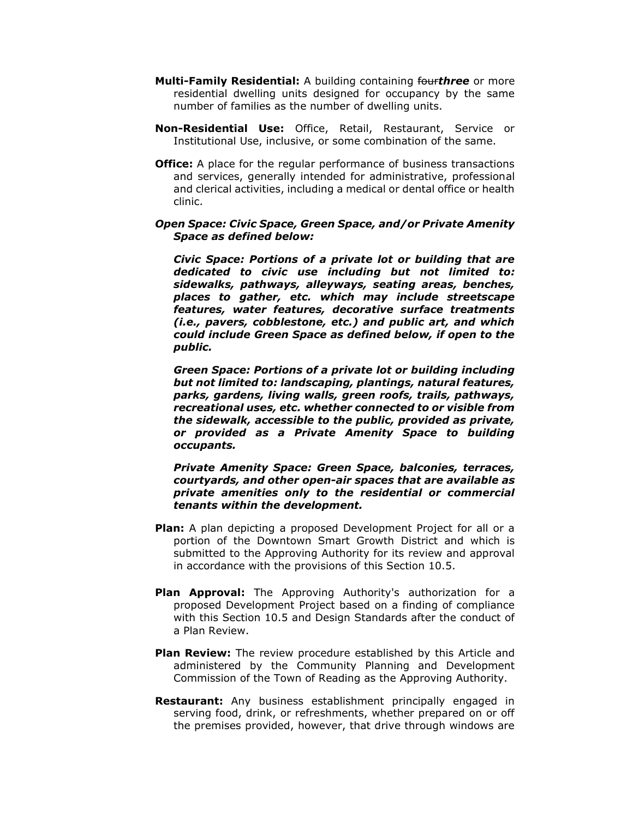- **Multi-Family Residential:** A building containing four*three* or more residential dwelling units designed for occupancy by the same number of families as the number of dwelling units.
- **Non-Residential Use:** Office, Retail, Restaurant, Service or Institutional Use, inclusive, or some combination of the same.
- **Office:** A place for the regular performance of business transactions and services, generally intended for administrative, professional and clerical activities, including a medical or dental office or health clinic.

#### *Open Space: Civic Space, Green Space, and/or Private Amenity Space as defined below:*

*Civic Space: Portions of a private lot or building that are dedicated to civic use including but not limited to: sidewalks, pathways, alleyways, seating areas, benches, places to gather, etc. which may include streetscape features, water features, decorative surface treatments (i.e., pavers, cobblestone, etc.) and public art, and which could include Green Space as defined below, if open to the public.*

*Green Space: Portions of a private lot or building including but not limited to: landscaping, plantings, natural features, parks, gardens, living walls, green roofs, trails, pathways, recreational uses, etc. whether connected to or visible from the sidewalk, accessible to the public, provided as private, or provided as a Private Amenity Space to building occupants.* 

#### *Private Amenity Space: Green Space, balconies, terraces, courtyards, and other open-air spaces that are available as private amenities only to the residential or commercial tenants within the development.*

- **Plan:** A plan depicting a proposed Development Project for all or a portion of the Downtown Smart Growth District and which is submitted to the Approving Authority for its review and approval in accordance with the provisions of this Section 10.5.
- **Plan Approval:** The Approving Authority's authorization for a proposed Development Project based on a finding of compliance with this Section 10.5 and Design Standards after the conduct of a Plan Review.
- **Plan Review:** The review procedure established by this Article and administered by the Community Planning and Development Commission of the Town of Reading as the Approving Authority.
- **Restaurant:** Any business establishment principally engaged in serving food, drink, or refreshments, whether prepared on or off the premises provided, however, that drive through windows are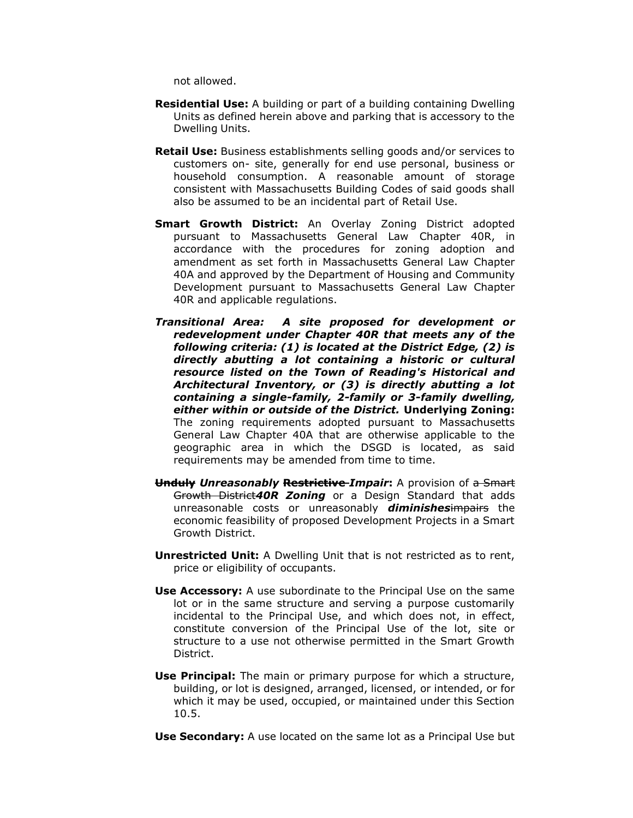not allowed.

- **Residential Use:** A building or part of a building containing Dwelling Units as defined herein above and parking that is accessory to the Dwelling Units.
- **Retail Use:** Business establishments selling goods and/or services to customers on- site, generally for end use personal, business or household consumption. A reasonable amount of storage consistent with Massachusetts Building Codes of said goods shall also be assumed to be an incidental part of Retail Use.
- **Smart Growth District:** An Overlay Zoning District adopted pursuant to Massachusetts General Law Chapter 40R, in accordance with the procedures for zoning adoption and amendment as set forth in Massachusetts General Law Chapter 40A and approved by the Department of Housing and Community Development pursuant to Massachusetts General Law Chapter 40R and applicable regulations.
- *Transitional Area: A site proposed for development or redevelopment under Chapter 40R that meets any of the following criteria: (1) is located at the District Edge, (2) is directly abutting a lot containing a historic or cultural resource listed on the Town of Reading's Historical and Architectural Inventory, or (3) is directly abutting a lot containing a single-family, 2-family or 3-family dwelling, either within or outside of the District.* **Underlying Zoning:**  The zoning requirements adopted pursuant to Massachusetts General Law Chapter 40A that are otherwise applicable to the geographic area in which the DSGD is located, as said requirements may be amended from time to time.
- **Unduly** *Unreasonably* **Restrictive** *Impair***:** A provision of a Smart Growth District*40R Zoning* or a Design Standard that adds unreasonable costs or unreasonably *diminishes*impairs the economic feasibility of proposed Development Projects in a Smart Growth District.
- **Unrestricted Unit:** A Dwelling Unit that is not restricted as to rent, price or eligibility of occupants.
- **Use Accessory:** A use subordinate to the Principal Use on the same lot or in the same structure and serving a purpose customarily incidental to the Principal Use, and which does not, in effect, constitute conversion of the Principal Use of the lot, site or structure to a use not otherwise permitted in the Smart Growth District.
- **Use Principal:** The main or primary purpose for which a structure, building, or lot is designed, arranged, licensed, or intended, or for which it may be used, occupied, or maintained under this Section 10.5.
- **Use Secondary:** A use located on the same lot as a Principal Use but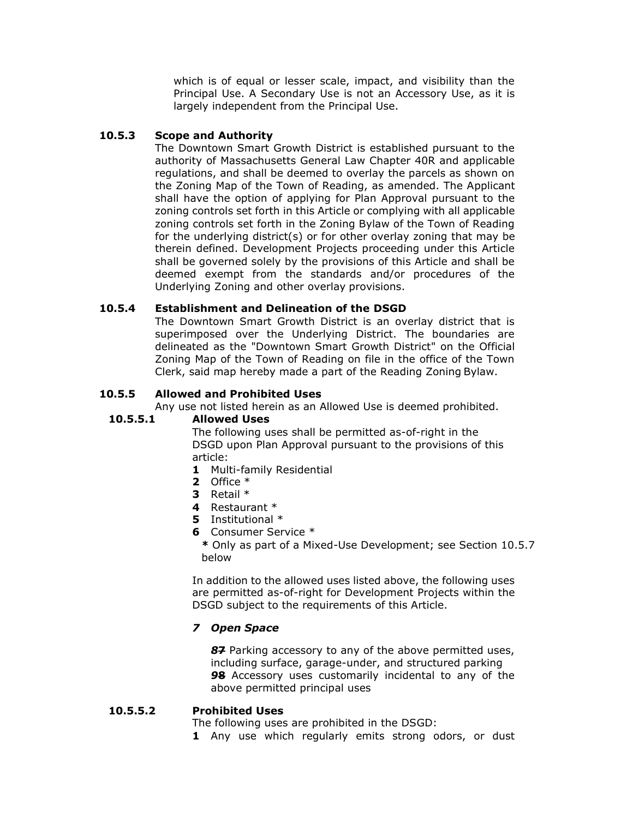which is of equal or lesser scale, impact, and visibility than the Principal Use. A Secondary Use is not an Accessory Use, as it is largely independent from the Principal Use.

#### **10.5.3 Scope and Authority**

The Downtown Smart Growth District is established pursuant to the authority of Massachusetts General Law Chapter 40R and applicable regulations, and shall be deemed to overlay the parcels as shown on the Zoning Map of the Town of Reading, as amended. The Applicant shall have the option of applying for Plan Approval pursuant to the zoning controls set forth in this Article or complying with all applicable zoning controls set forth in the Zoning Bylaw of the Town of Reading for the underlying district(s) or for other overlay zoning that may be therein defined. Development Projects proceeding under this Article shall be governed solely by the provisions of this Article and shall be deemed exempt from the standards and/or procedures of the Underlying Zoning and other overlay provisions.

#### **10.5.4 Establishment and Delineation of the DSGD**

The Downtown Smart Growth District is an overlay district that is superimposed over the Underlying District. The boundaries are delineated as the "Downtown Smart Growth District" on the Official Zoning Map of the Town of Reading on file in the office of the Town Clerk, said map hereby made a part of the Reading Zoning Bylaw.

#### **10.5.5 Allowed and Prohibited Uses**

Any use not listed herein as an Allowed Use is deemed prohibited.

#### **10.5.5.1 Allowed Uses**

The following uses shall be permitted as-of-right in the DSGD upon Plan Approval pursuant to the provisions of this article:

- **1** Multi-family Residential
- **2** Office \*
- **3** Retail \*
- **4** Restaurant \*
- **5** Institutional \*
- **6** Consumer Service \*

**\*** Only as part of a Mixed-Use Development; see Section 10.5.7 below

In addition to the allowed uses listed above, the following uses are permitted as-of-right for Development Projects within the DSGD subject to the requirements of this Article.

#### *7 Open Space*

*8***7** Parking accessory to any of the above permitted uses, including surface, garage-under, and structured parking *9***8** Accessory uses customarily incidental to any of the above permitted principal uses

#### **10.5.5.2 Prohibited Uses**

The following uses are prohibited in the DSGD:

**1** Any use which regularly emits strong odors, or dust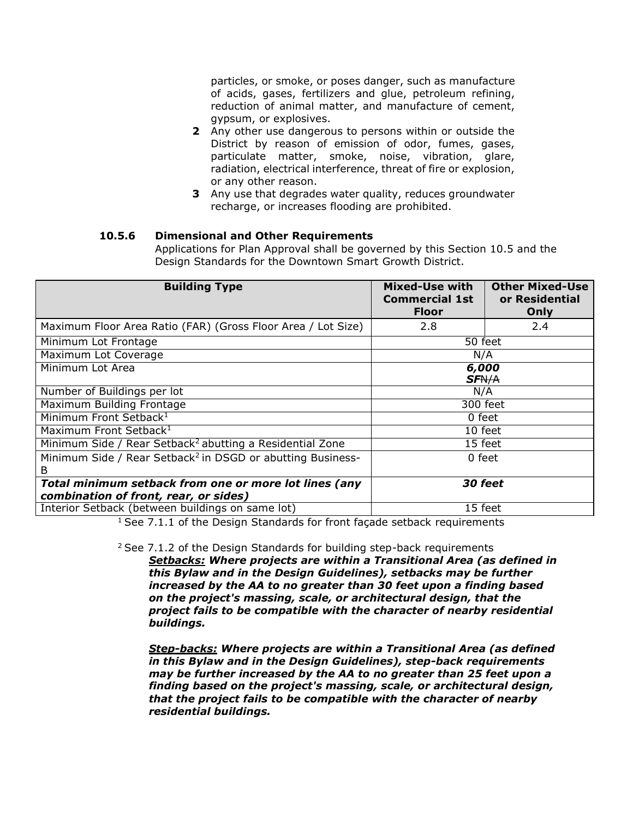particles, or smoke, or poses danger, such as manufacture of acids, gases, fertilizers and glue, petroleum refining, reduction of animal matter, and manufacture of cement, gypsum, or explosives.

- **2** Any other use dangerous to persons within or outside the District by reason of emission of odor, fumes, gases, particulate matter, smoke, noise, vibration, glare, radiation, electrical interference, threat of fire or explosion, or any other reason.
- **3** Any use that degrades water quality, reduces groundwater recharge, or increases flooding are prohibited.

#### **10.5.6 Dimensional and Other Requirements**

Applications for Plan Approval shall be governed by this Section 10.5 and the Design Standards for the Downtown Smart Growth District.

| <b>Building Type</b>                                                                           | Mixed-Use with<br><b>Commercial 1st</b><br><b>Floor</b> | <b>Other Mixed-Use</b><br>or Residential<br>Only |
|------------------------------------------------------------------------------------------------|---------------------------------------------------------|--------------------------------------------------|
| Maximum Floor Area Ratio (FAR) (Gross Floor Area / Lot Size)                                   | 2.8                                                     | 2.4                                              |
| 50 feet<br>Minimum Lot Frontage                                                                |                                                         |                                                  |
| Maximum Lot Coverage                                                                           | N/A                                                     |                                                  |
| Minimum Lot Area                                                                               | 6,000<br><b>SFN/A</b>                                   |                                                  |
| Number of Buildings per lot                                                                    | N/A                                                     |                                                  |
| Maximum Building Frontage                                                                      | 300 feet                                                |                                                  |
| Minimum Front Setback <sup>1</sup>                                                             | 0 feet                                                  |                                                  |
| Maximum Front Setback <sup>1</sup>                                                             | 10 feet                                                 |                                                  |
| Minimum Side / Rear Setback <sup>2</sup> abutting a Residential Zone                           | 15 feet                                                 |                                                  |
| Minimum Side / Rear Setback <sup>2</sup> in DSGD or abutting Business-<br>B                    | 0 feet                                                  |                                                  |
| Total minimum setback from one or more lot lines (any<br>combination of front, rear, or sides) | <b>30 feet</b>                                          |                                                  |
| Interior Setback (between buildings on same lot)                                               | 15 feet                                                 |                                                  |

<sup>1</sup> See 7.1.1 of the Design Standards for front façade setback requirements

 $2$  See 7.1.2 of the Design Standards for building step-back requirements

*Setbacks: Where projects are within a Transitional Area (as defined in this Bylaw and in the Design Guidelines), setbacks may be further increased by the AA to no greater than 30 feet upon a finding based on the project's massing, scale, or architectural design, that the project fails to be compatible with the character of nearby residential buildings.*

*Step-backs: Where projects are within a Transitional Area (as defined in this Bylaw and in the Design Guidelines), step-back requirements may be further increased by the AA to no greater than 25 feet upon a finding based on the project's massing, scale, or architectural design, that the project fails to be compatible with the character of nearby residential buildings.*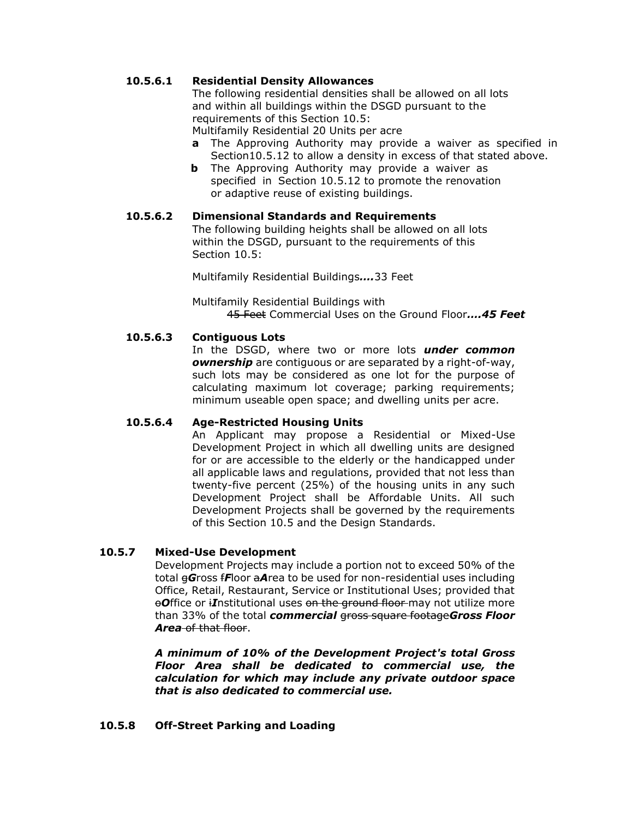#### **10.5.6.1 Residential Density Allowances**

The following residential densities shall be allowed on all lots and within all buildings within the DSGD pursuant to the requirements of this Section 10.5:

Multifamily Residential 20 Units per acre

- **a** The Approving Authority may provide a waiver as specified in Section10.5.12 to allow a density in excess of that stated above.
- **b** The Approving Authority may provide a waiver as specified in Section 10.5.12 to promote the renovation or adaptive reuse of existing buildings.

#### **10.5.6.2 Dimensional Standards and Requirements**

The following building heights shall be allowed on all lots within the DSGD, pursuant to the requirements of this Section 10.5:

Multifamily Residential Buildings*….*33 Feet

Multifamily Residential Buildings with 45 Feet Commercial Uses on the Ground Floor*….45 Feet*

#### **10.5.6.3 Contiguous Lots**

In the DSGD, where two or more lots *under common ownership* are contiguous or are separated by a right-of-way, such lots may be considered as one lot for the purpose of calculating maximum lot coverage; parking requirements; minimum useable open space; and dwelling units per acre.

#### **10.5.6.4 Age-Restricted Housing Units**

An Applicant may propose a Residential or Mixed-Use Development Project in which all dwelling units are designed for or are accessible to the elderly or the handicapped under all applicable laws and regulations, provided that not less than twenty-five percent (25%) of the housing units in any such Development Project shall be Affordable Units. All such Development Projects shall be governed by the requirements of this Section 10.5 and the Design Standards.

#### **10.5.7 Mixed-Use Development**

Development Projects may include a portion not to exceed 50% of the total g*G*ross f*F*loor a*A*rea to be used for non-residential uses including Office, Retail, Restaurant, Service or Institutional Uses; provided that **Office or** *iI***nstitutional uses <del>on the ground floor</del> may not utilize more** than 33% of the total *commercial* gross square footage*Gross Floor Area* of that floor.

*A minimum of 10% of the Development Project's total Gross Floor Area shall be dedicated to commercial use, the calculation for which may include any private outdoor space that is also dedicated to commercial use.*

#### **10.5.8 Off-Street Parking and Loading**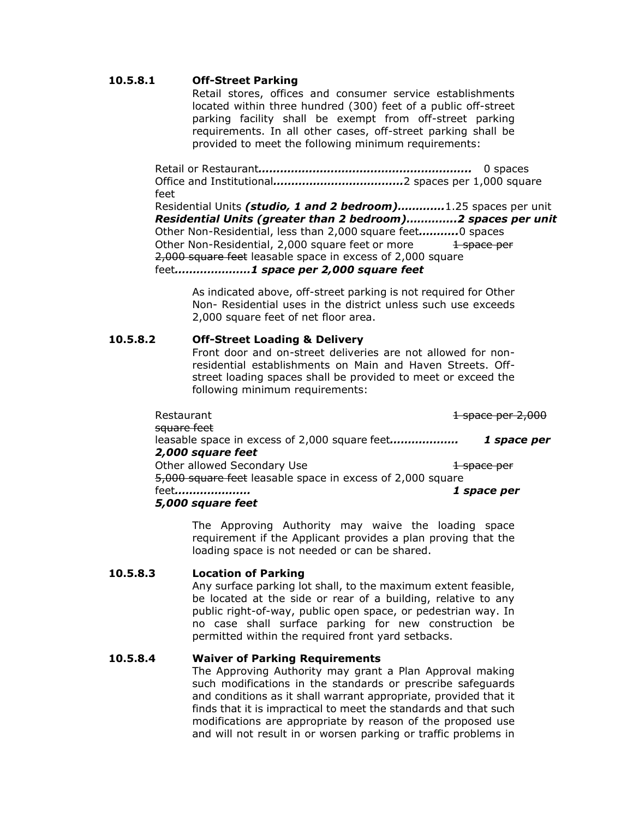#### **10.5.8.1 Off-Street Parking**

Retail stores, offices and consumer service establishments located within three hundred (300) feet of a public off-street parking facility shall be exempt from off-street parking requirements. In all other cases, off-street parking shall be provided to meet the following minimum requirements:

Retail or Restaurant*…………………………………………………..* 0 spaces Office and Institutional*………………………………*2 spaces per 1,000 square feet

Residential Units *(studio, 1 and 2 bedroom)………….*1.25 spaces per unit *Residential Units (greater than 2 bedroom)…………..2 spaces per unit* Other Non-Residential, less than 2,000 square feet*………..*0 spaces Other Non-Residential, 2,000 square feet or more 1 space per 2,000 square feet leasable space in excess of 2,000 square feet*…………………1 space per 2,000 square feet*

As indicated above, off-street parking is not required for Other Non- Residential uses in the district unless such use exceeds 2,000 square feet of net floor area.

#### **10.5.8.2 Off-Street Loading & Delivery**

Front door and on-street deliveries are not allowed for nonresidential establishments on Main and Haven Streets. Offstreet loading spaces shall be provided to meet or exceed the following minimum requirements:

| Restaurant                                                 | 1 space per 2,000      |
|------------------------------------------------------------|------------------------|
| square feet                                                |                        |
| leasable space in excess of 2,000 square feet              | 1 space per            |
| 2,000 square feet                                          |                        |
| Other allowed Secondary Use                                | <del>1 space per</del> |
| 5,000 square feet leasable space in excess of 2,000 square |                        |
| feet                                                       | 1 space per            |
| 5,000 square feet                                          |                        |

The Approving Authority may waive the loading space requirement if the Applicant provides a plan proving that the loading space is not needed or can be shared.

#### **10.5.8.3 Location of Parking**

Any surface parking lot shall, to the maximum extent feasible, be located at the side or rear of a building, relative to any public right-of-way, public open space, or pedestrian way. In no case shall surface parking for new construction be permitted within the required front yard setbacks.

#### **10.5.8.4 Waiver of Parking Requirements**

The Approving Authority may grant a Plan Approval making such modifications in the standards or prescribe safeguards and conditions as it shall warrant appropriate, provided that it finds that it is impractical to meet the standards and that such modifications are appropriate by reason of the proposed use and will not result in or worsen parking or traffic problems in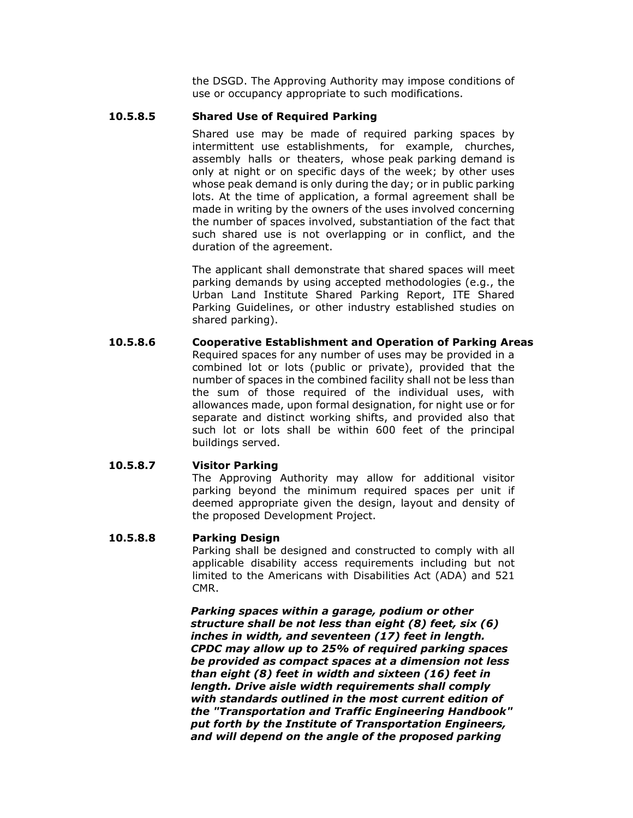the DSGD. The Approving Authority may impose conditions of use or occupancy appropriate to such modifications.

#### **10.5.8.5 Shared Use of Required Parking**

Shared use may be made of required parking spaces by intermittent use establishments, for example, churches, assembly halls or theaters, whose peak parking demand is only at night or on specific days of the week; by other uses whose peak demand is only during the day; or in public parking lots. At the time of application, a formal agreement shall be made in writing by the owners of the uses involved concerning the number of spaces involved, substantiation of the fact that such shared use is not overlapping or in conflict, and the duration of the agreement.

The applicant shall demonstrate that shared spaces will meet parking demands by using accepted methodologies (e.g., the Urban Land Institute Shared Parking Report, ITE Shared Parking Guidelines, or other industry established studies on shared parking).

**10.5.8.6 Cooperative Establishment and Operation of Parking Areas** Required spaces for any number of uses may be provided in a combined lot or lots (public or private), provided that the number of spaces in the combined facility shall not be less than the sum of those required of the individual uses, with allowances made, upon formal designation, for night use or for separate and distinct working shifts, and provided also that such lot or lots shall be within 600 feet of the principal buildings served.

#### **10.5.8.7 Visitor Parking**

The Approving Authority may allow for additional visitor parking beyond the minimum required spaces per unit if deemed appropriate given the design, layout and density of the proposed Development Project.

#### **10.5.8.8 Parking Design**

Parking shall be designed and constructed to comply with all applicable disability access requirements including but not limited to the Americans with Disabilities Act (ADA) and 521 CMR.

*Parking spaces within a garage, podium or other structure shall be not less than eight (8) feet, six (6) inches in width, and seventeen (17) feet in length. CPDC may allow up to 25% of required parking spaces be provided as compact spaces at a dimension not less than eight (8) feet in width and sixteen (16) feet in length. Drive aisle width requirements shall comply with standards outlined in the most current edition of the "Transportation and Traffic Engineering Handbook" put forth by the Institute of Transportation Engineers, and will depend on the angle of the proposed parking*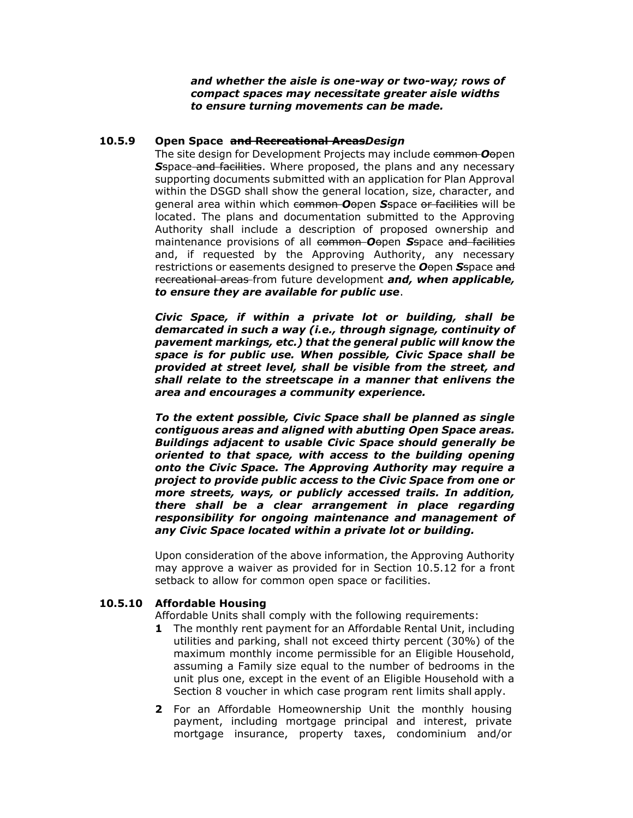*and whether the aisle is one-way or two-way; rows of compact spaces may necessitate greater aisle widths to ensure turning movements can be made.* 

#### **10.5.9 Open Space and Recreational Areas***Design*

The site design for Development Projects may include common *O*open **S**space and facilities. Where proposed, the plans and any necessary supporting documents submitted with an application for Plan Approval within the DSGD shall show the general location, size, character, and general area within which common *O*open *S*space or facilities will be located. The plans and documentation submitted to the Approving Authority shall include a description of proposed ownership and maintenance provisions of all common *O*open *S*space and facilities and, if requested by the Approving Authority, any necessary restrictions or easements designed to preserve the *O*open *S*space and recreational areas from future development *and, when applicable, to ensure they are available for public use*.

*Civic Space, if within a private lot or building, shall be demarcated in such a way (i.e., through signage, continuity of pavement markings, etc.) that the general public will know the space is for public use. When possible, Civic Space shall be provided at street level, shall be visible from the street, and shall relate to the streetscape in a manner that enlivens the area and encourages a community experience.*

*To the extent possible, Civic Space shall be planned as single contiguous areas and aligned with abutting Open Space areas. Buildings adjacent to usable Civic Space should generally be oriented to that space, with access to the building opening onto the Civic Space. The Approving Authority may require a project to provide public access to the Civic Space from one or more streets, ways, or publicly accessed trails. In addition, there shall be a clear arrangement in place regarding responsibility for ongoing maintenance and management of any Civic Space located within a private lot or building.*

Upon consideration of the above information, the Approving Authority may approve a waiver as provided for in Section 10.5.12 for a front setback to allow for common open space or facilities.

#### **10.5.10 Affordable Housing**

Affordable Units shall comply with the following requirements:

- **1** The monthly rent payment for an Affordable Rental Unit, including utilities and parking, shall not exceed thirty percent (30%) of the maximum monthly income permissible for an Eligible Household, assuming a Family size equal to the number of bedrooms in the unit plus one, except in the event of an Eligible Household with a Section 8 voucher in which case program rent limits shall apply.
- **2** For an Affordable Homeownership Unit the monthly housing payment, including mortgage principal and interest, private mortgage insurance, property taxes, condominium and/or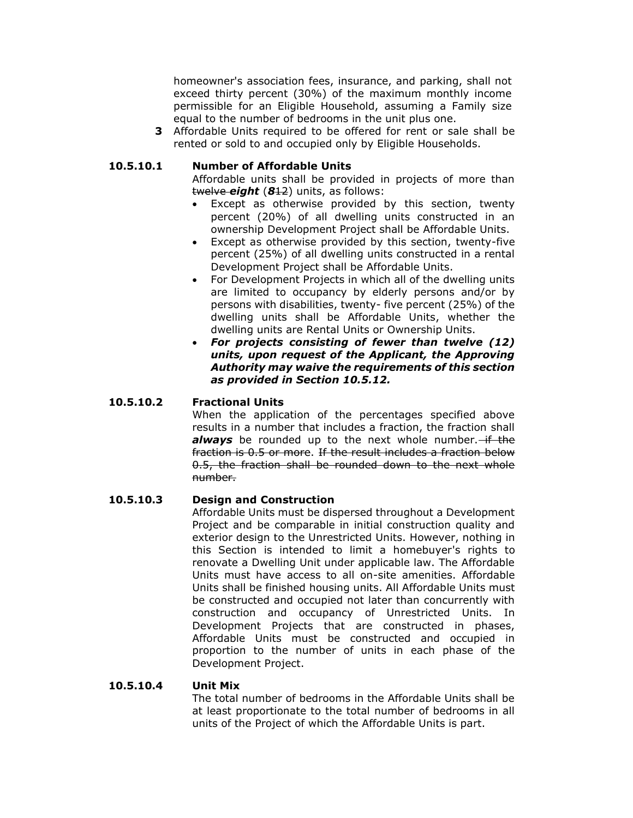homeowner's association fees, insurance, and parking, shall not exceed thirty percent (30%) of the maximum monthly income permissible for an Eligible Household, assuming a Family size equal to the number of bedrooms in the unit plus one.

**3** Affordable Units required to be offered for rent or sale shall be rented or sold to and occupied only by Eligible Households.

#### **10.5.10.1 Number of Affordable Units**

Affordable units shall be provided in projects of more than twelve *eight* (*8*12) units, as follows:

- Except as otherwise provided by this section, twenty percent (20%) of all dwelling units constructed in an ownership Development Project shall be Affordable Units.
- Except as otherwise provided by this section, twenty-five percent (25%) of all dwelling units constructed in a rental Development Project shall be Affordable Units.
- For Development Projects in which all of the dwelling units are limited to occupancy by elderly persons and/or by persons with disabilities, twenty- five percent (25%) of the dwelling units shall be Affordable Units, whether the dwelling units are Rental Units or Ownership Units.
- *For projects consisting of fewer than twelve (12) units, upon request of the Applicant, the Approving Authority may waive the requirements of this section as provided in Section 10.5.12.*

#### **10.5.10.2 Fractional Units**

When the application of the percentages specified above results in a number that includes a fraction, the fraction shall always be rounded up to the next whole number.-if the fraction is 0.5 or more. If the result includes a fraction below 0.5, the fraction shall be rounded down to the next whole number.

#### **10.5.10.3 Design and Construction**

Affordable Units must be dispersed throughout a Development Project and be comparable in initial construction quality and exterior design to the Unrestricted Units. However, nothing in this Section is intended to limit a homebuyer's rights to renovate a Dwelling Unit under applicable law. The Affordable Units must have access to all on-site amenities. Affordable Units shall be finished housing units. All Affordable Units must be constructed and occupied not later than concurrently with construction and occupancy of Unrestricted Units. In Development Projects that are constructed in phases, Affordable Units must be constructed and occupied in proportion to the number of units in each phase of the Development Project.

#### **10.5.10.4 Unit Mix**

The total number of bedrooms in the Affordable Units shall be at least proportionate to the total number of bedrooms in all units of the Project of which the Affordable Units is part.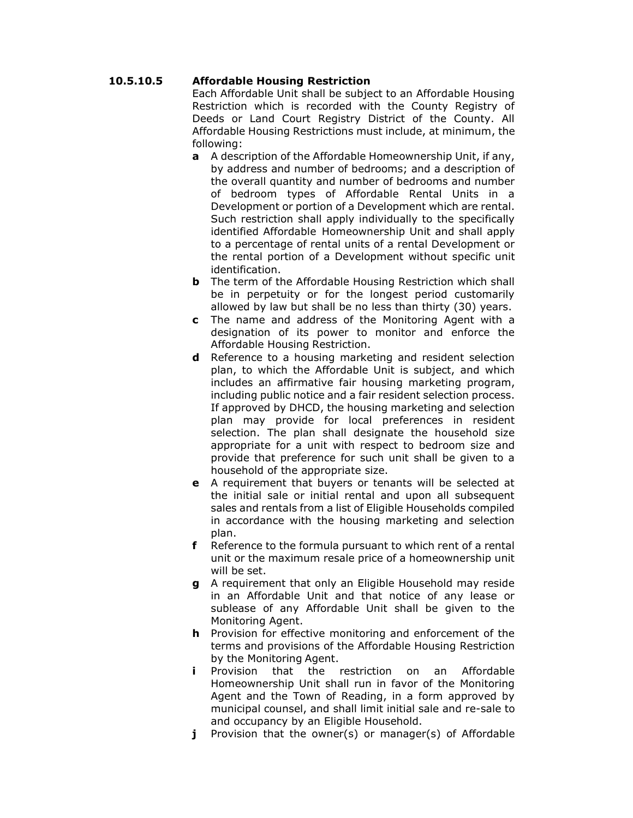#### **10.5.10.5 Affordable Housing Restriction**

Each Affordable Unit shall be subject to an Affordable Housing Restriction which is recorded with the County Registry of Deeds or Land Court Registry District of the County. All Affordable Housing Restrictions must include, at minimum, the following:

- **a** A description of the Affordable Homeownership Unit, if any, by address and number of bedrooms; and a description of the overall quantity and number of bedrooms and number of bedroom types of Affordable Rental Units in a Development or portion of a Development which are rental. Such restriction shall apply individually to the specifically identified Affordable Homeownership Unit and shall apply to a percentage of rental units of a rental Development or the rental portion of a Development without specific unit identification.
- **b** The term of the Affordable Housing Restriction which shall be in perpetuity or for the longest period customarily allowed by law but shall be no less than thirty (30) years.
- **c** The name and address of the Monitoring Agent with a designation of its power to monitor and enforce the Affordable Housing Restriction.
- **d** Reference to a housing marketing and resident selection plan, to which the Affordable Unit is subject, and which includes an affirmative fair housing marketing program, including public notice and a fair resident selection process. If approved by DHCD, the housing marketing and selection plan may provide for local preferences in resident selection. The plan shall designate the household size appropriate for a unit with respect to bedroom size and provide that preference for such unit shall be given to a household of the appropriate size.
- **e** A requirement that buyers or tenants will be selected at the initial sale or initial rental and upon all subsequent sales and rentals from a list of Eligible Households compiled in accordance with the housing marketing and selection plan.
- **f** Reference to the formula pursuant to which rent of a rental unit or the maximum resale price of a homeownership unit will be set.
- **g** A requirement that only an Eligible Household may reside in an Affordable Unit and that notice of any lease or sublease of any Affordable Unit shall be given to the Monitoring Agent.
- **h** Provision for effective monitoring and enforcement of the terms and provisions of the Affordable Housing Restriction by the Monitoring Agent.
- **i** Provision that the restriction on an Affordable Homeownership Unit shall run in favor of the Monitoring Agent and the Town of Reading, in a form approved by municipal counsel, and shall limit initial sale and re-sale to and occupancy by an Eligible Household.
- **j** Provision that the owner(s) or manager(s) of Affordable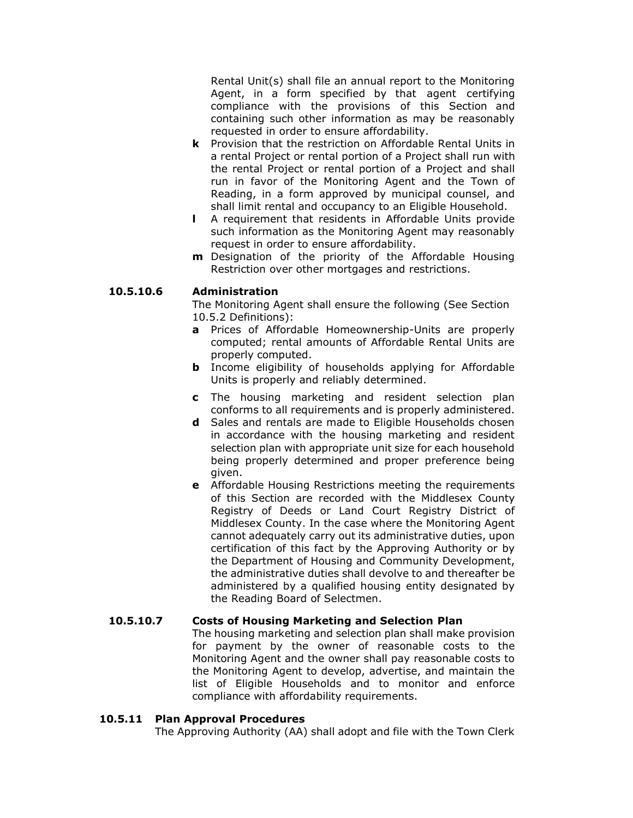Rental Unit(s) shall file an annual report to the Monitoring Agent, in a form specified by that agent certifying compliance with the provisions of this Section and containing such other information as may be reasonably requested in order to ensure affordability.

- **k** Provision that the restriction on Affordable Rental Units in a rental Project or rental portion of a Project shall run with the rental Project or rental portion of a Project and shall run in favor of the Monitoring Agent and the Town of Reading, in a form approved by municipal counsel, and shall limit rental and occupancy to an Eligible Household.
- **l** A requirement that residents in Affordable Units provide such information as the Monitoring Agent may reasonably request in order to ensure affordability.
- **m** Designation of the priority of the Affordable Housing Restriction over other mortgages and restrictions.

#### **10.5.10.6 Administration**

The Monitoring Agent shall ensure the following (See Section 10.5.2 Definitions):

- **a** Prices of Affordable Homeownership-Units are properly computed; rental amounts of Affordable Rental Units are properly computed.
- **b** Income eligibility of households applying for Affordable Units is properly and reliably determined.
- **c** The housing marketing and resident selection plan conforms to all requirements and is properly administered.
- **d** Sales and rentals are made to Eligible Households chosen in accordance with the housing marketing and resident selection plan with appropriate unit size for each household being properly determined and proper preference being given.
- **e** Affordable Housing Restrictions meeting the requirements of this Section are recorded with the Middlesex County Registry of Deeds or Land Court Registry District of Middlesex County. In the case where the Monitoring Agent cannot adequately carry out its administrative duties, upon certification of this fact by the Approving Authority or by the Department of Housing and Community Development, the administrative duties shall devolve to and thereafter be administered by a qualified housing entity designated by the Reading Board of Selectmen.

#### **10.5.10.7 Costs of Housing Marketing and Selection Plan**

The housing marketing and selection plan shall make provision for payment by the owner of reasonable costs to the Monitoring Agent and the owner shall pay reasonable costs to the Monitoring Agent to develop, advertise, and maintain the list of Eligible Households and to monitor and enforce compliance with affordability requirements.

#### **10.5.11 Plan Approval Procedures**

The Approving Authority (AA) shall adopt and file with the Town Clerk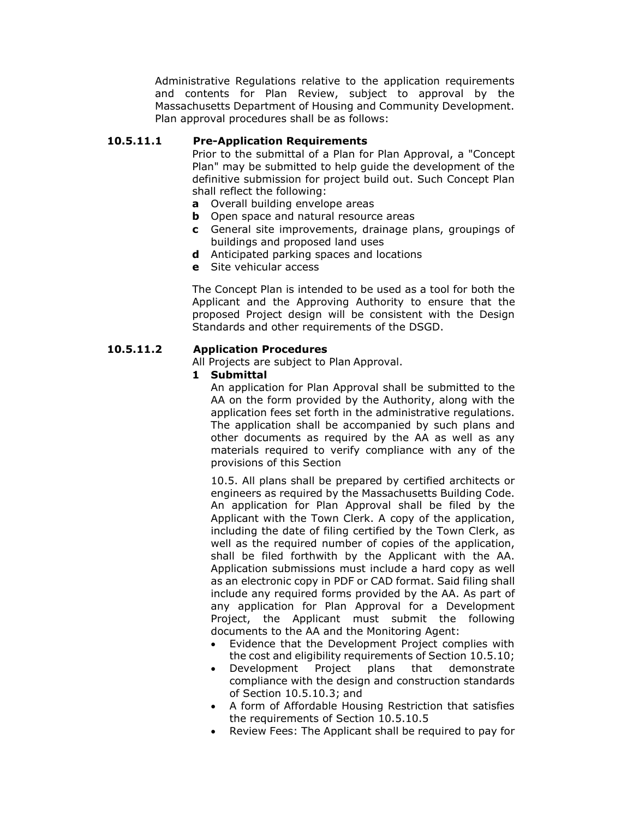Administrative Regulations relative to the application requirements and contents for Plan Review, subject to approval by the Massachusetts Department of Housing and Community Development. Plan approval procedures shall be as follows:

#### **10.5.11.1 Pre-Application Requirements**

Prior to the submittal of a Plan for Plan Approval, a "Concept Plan" may be submitted to help guide the development of the definitive submission for project build out. Such Concept Plan shall reflect the following:

- **a** Overall building envelope areas
- **b** Open space and natural resource areas
- **c** General site improvements, drainage plans, groupings of buildings and proposed land uses
- **d** Anticipated parking spaces and locations
- **e** Site vehicular access

The Concept Plan is intended to be used as a tool for both the Applicant and the Approving Authority to ensure that the proposed Project design will be consistent with the Design Standards and other requirements of the DSGD.

#### **10.5.11.2 Application Procedures**

All Projects are subject to Plan Approval.

#### **1 Submittal**

An application for Plan Approval shall be submitted to the AA on the form provided by the Authority, along with the application fees set forth in the administrative regulations. The application shall be accompanied by such plans and other documents as required by the AA as well as any materials required to verify compliance with any of the provisions of this Section

10.5. All plans shall be prepared by certified architects or engineers as required by the Massachusetts Building Code. An application for Plan Approval shall be filed by the Applicant with the Town Clerk. A copy of the application, including the date of filing certified by the Town Clerk, as well as the required number of copies of the application, shall be filed forthwith by the Applicant with the AA. Application submissions must include a hard copy as well as an electronic copy in PDF or CAD format. Said filing shall include any required forms provided by the AA. As part of any application for Plan Approval for a Development Project, the Applicant must submit the following documents to the AA and the Monitoring Agent:

- Evidence that the Development Project complies with the cost and eligibility requirements of Section 10.5.10;
- Development Project plans that demonstrate compliance with the design and construction standards of Section 10.5.10.3; and
- A form of Affordable Housing Restriction that satisfies the requirements of Section 10.5.10.5
- Review Fees: The Applicant shall be required to pay for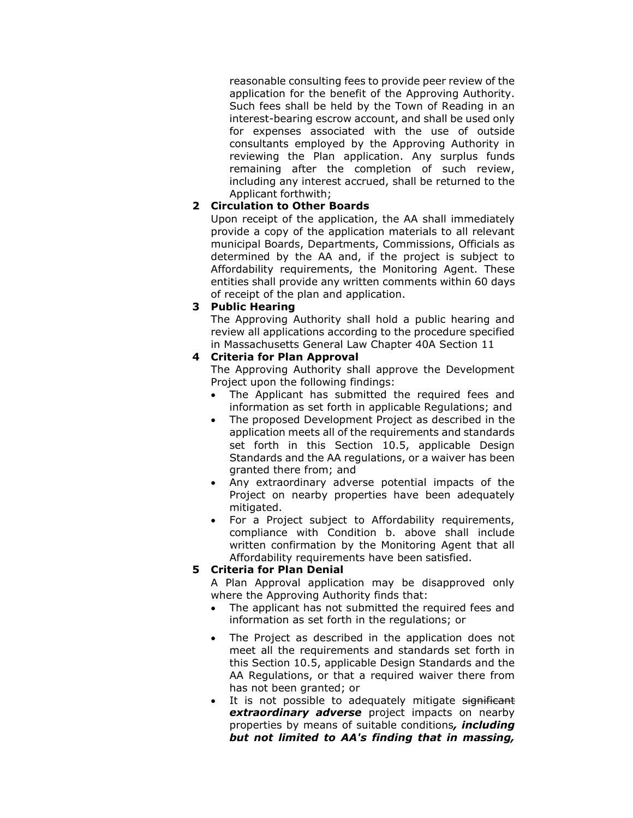reasonable consulting fees to provide peer review of the application for the benefit of the Approving Authority. Such fees shall be held by the Town of Reading in an interest-bearing escrow account, and shall be used only for expenses associated with the use of outside consultants employed by the Approving Authority in reviewing the Plan application. Any surplus funds remaining after the completion of such review, including any interest accrued, shall be returned to the Applicant forthwith;

#### **2 Circulation to Other Boards**

Upon receipt of the application, the AA shall immediately provide a copy of the application materials to all relevant municipal Boards, Departments, Commissions, Officials as determined by the AA and, if the project is subject to Affordability requirements, the Monitoring Agent. These entities shall provide any written comments within 60 days of receipt of the plan and application.

#### **3 Public Hearing**

The Approving Authority shall hold a public hearing and review all applications according to the procedure specified in Massachusetts General Law Chapter 40A Section 11

#### **4 Criteria for Plan Approval**

The Approving Authority shall approve the Development Project upon the following findings:

- The Applicant has submitted the required fees and information as set forth in applicable Regulations; and
- The proposed Development Project as described in the application meets all of the requirements and standards set forth in this Section 10.5, applicable Design Standards and the AA regulations, or a waiver has been granted there from; and
- Any extraordinary adverse potential impacts of the Project on nearby properties have been adequately mitigated.
- For a Project subject to Affordability requirements, compliance with Condition b. above shall include written confirmation by the Monitoring Agent that all Affordability requirements have been satisfied.

#### **5 Criteria for Plan Denial**

A Plan Approval application may be disapproved only where the Approving Authority finds that:

- The applicant has not submitted the required fees and information as set forth in the regulations; or
- The Project as described in the application does not meet all the requirements and standards set forth in this Section 10.5, applicable Design Standards and the AA Regulations, or that a required waiver there from has not been granted; or
- It is not possible to adequately mitigate significant *extraordinary adverse* project impacts on nearby properties by means of suitable conditions*, including but not limited to AA's finding that in massing,*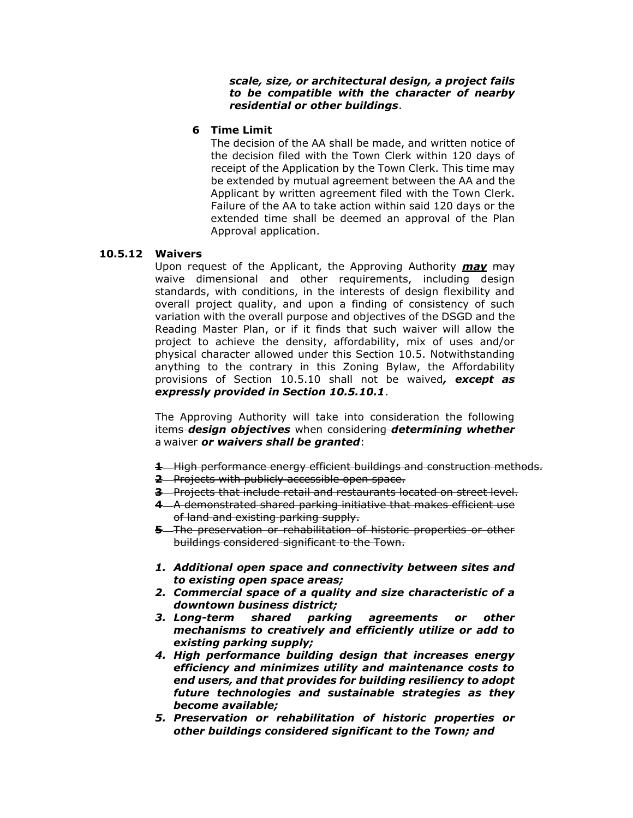*scale, size, or architectural design, a project fails to be compatible with the character of nearby residential or other buildings*.

#### **6 Time Limit**

The decision of the AA shall be made, and written notice of the decision filed with the Town Clerk within 120 days of receipt of the Application by the Town Clerk. This time may be extended by mutual agreement between the AA and the Applicant by written agreement filed with the Town Clerk. Failure of the AA to take action within said 120 days or the extended time shall be deemed an approval of the Plan Approval application.

#### **10.5.12 Waivers**

Upon request of the Applicant, the Approving Authority *may* may waive dimensional and other requirements, including design standards, with conditions, in the interests of design flexibility and overall project quality, and upon a finding of consistency of such variation with the overall purpose and objectives of the DSGD and the Reading Master Plan, or if it finds that such waiver will allow the project to achieve the density, affordability, mix of uses and/or physical character allowed under this Section 10.5. Notwithstanding anything to the contrary in this Zoning Bylaw, the Affordability provisions of Section 10.5.10 shall not be waived*, except as expressly provided in Section 10.5.10.1*.

The Approving Authority will take into consideration the following items *design objectives* when considering *determining whether* a waiver *or waivers shall be granted*:

- **1** High performance energy efficient buildings and construction methods.
- **2** Projects with publicly accessible open space.
- **3** Projects that include retail and restaurants located on street level.
- **4** A demonstrated shared parking initiative that makes efficient use of land and existing parking supply.
- **5** The preservation or rehabilitation of historic properties or other buildings considered significant to the Town.
- *1. Additional open space and connectivity between sites and to existing open space areas;*
- *2. Commercial space of a quality and size characteristic of a downtown business district;*
- *3. Long-term shared parking agreements or other mechanisms to creatively and efficiently utilize or add to existing parking supply;*
- *4. High performance building design that increases energy efficiency and minimizes utility and maintenance costs to end users, and that provides for building resiliency to adopt future technologies and sustainable strategies as they become available;*
- *5. Preservation or rehabilitation of historic properties or other buildings considered significant to the Town; and*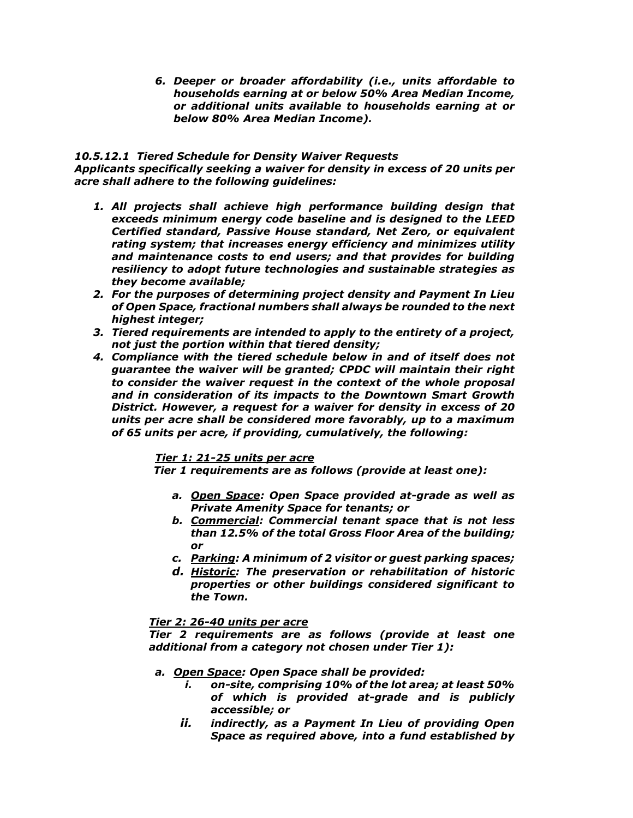*6. Deeper or broader affordability (i.e., units affordable to households earning at or below 50% Area Median Income, or additional units available to households earning at or below 80% Area Median Income).*

#### *10.5.12.1 Tiered Schedule for Density Waiver Requests*

*Applicants specifically seeking a waiver for density in excess of 20 units per acre shall adhere to the following guidelines:*

- *1. All projects shall achieve high performance building design that exceeds minimum energy code baseline and is designed to the LEED Certified standard, Passive House standard, Net Zero, or equivalent rating system; that increases energy efficiency and minimizes utility and maintenance costs to end users; and that provides for building resiliency to adopt future technologies and sustainable strategies as they become available;*
- *2. For the purposes of determining project density and Payment In Lieu of Open Space, fractional numbers shall always be rounded to the next highest integer;*
- *3. Tiered requirements are intended to apply to the entirety of a project, not just the portion within that tiered density;*
- *4. Compliance with the tiered schedule below in and of itself does not guarantee the waiver will be granted; CPDC will maintain their right to consider the waiver request in the context of the whole proposal and in consideration of its impacts to the Downtown Smart Growth District. However, a request for a waiver for density in excess of 20 units per acre shall be considered more favorably, up to a maximum of 65 units per acre, if providing, cumulatively, the following:*

#### *Tier 1: 21-25 units per acre*

*Tier 1 requirements are as follows (provide at least one):*

- *a. Open Space: Open Space provided at-grade as well as Private Amenity Space for tenants; or*
- *b. Commercial: Commercial tenant space that is not less than 12.5% of the total Gross Floor Area of the building; or*
- *c. Parking: A minimum of 2 visitor or guest parking spaces;*
- *d. Historic: The preservation or rehabilitation of historic properties or other buildings considered significant to the Town.*

#### *Tier 2: 26-40 units per acre*

*Tier 2 requirements are as follows (provide at least one additional from a category not chosen under Tier 1):* 

#### *a. Open Space: Open Space shall be provided:*

- *i. on-site, comprising 10% of the lot area; at least 50% of which is provided at-grade and is publicly accessible; or*
- *ii. indirectly, as a Payment In Lieu of providing Open Space as required above, into a fund established by*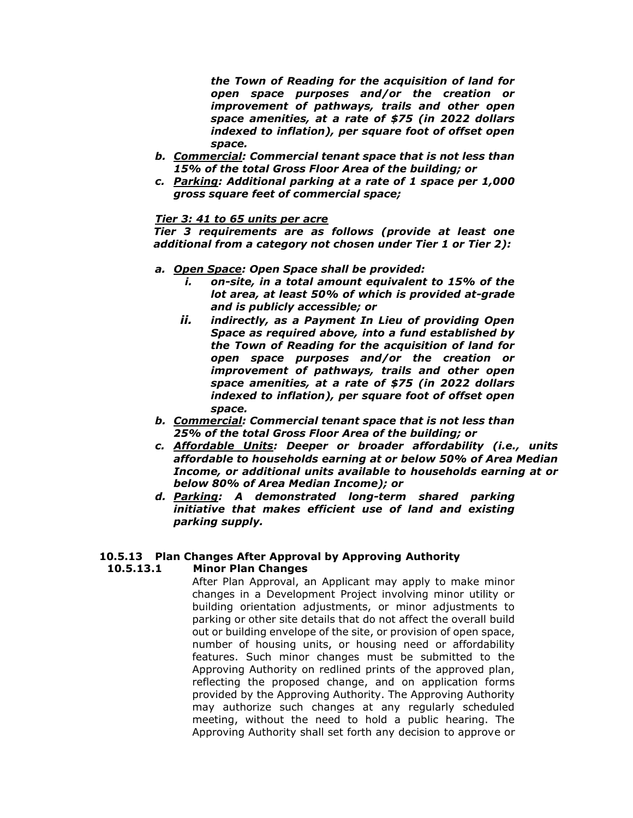*the Town of Reading for the acquisition of land for open space purposes and/or the creation or improvement of pathways, trails and other open space amenities, at a rate of \$75 (in 2022 dollars indexed to inflation), per square foot of offset open space.*

- *b. Commercial: Commercial tenant space that is not less than 15% of the total Gross Floor Area of the building; or*
- *c. Parking: Additional parking at a rate of 1 space per 1,000 gross square feet of commercial space;*

#### *Tier 3: 41 to 65 units per acre*

*Tier 3 requirements are as follows (provide at least one additional from a category not chosen under Tier 1 or Tier 2):*

- *a. Open Space: Open Space shall be provided:*
	- *i. on-site, in a total amount equivalent to 15% of the lot area, at least 50% of which is provided at-grade and is publicly accessible; or*
	- *ii. indirectly, as a Payment In Lieu of providing Open Space as required above, into a fund established by the Town of Reading for the acquisition of land for open space purposes and/or the creation or improvement of pathways, trails and other open space amenities, at a rate of \$75 (in 2022 dollars indexed to inflation), per square foot of offset open space.*
- *b. Commercial: Commercial tenant space that is not less than 25% of the total Gross Floor Area of the building; or*
- *c. Affordable Units: Deeper or broader affordability (i.e., units affordable to households earning at or below 50% of Area Median Income, or additional units available to households earning at or below 80% of Area Median Income); or*
- *d. Parking: A demonstrated long-term shared parking initiative that makes efficient use of land and existing parking supply.*

#### **10.5.13 Plan Changes After Approval by Approving Authority 10.5.13.1 Minor Plan Changes**

After Plan Approval, an Applicant may apply to make minor changes in a Development Project involving minor utility or building orientation adjustments, or minor adjustments to parking or other site details that do not affect the overall build out or building envelope of the site, or provision of open space, number of housing units, or housing need or affordability features. Such minor changes must be submitted to the Approving Authority on redlined prints of the approved plan, reflecting the proposed change, and on application forms provided by the Approving Authority. The Approving Authority may authorize such changes at any regularly scheduled meeting, without the need to hold a public hearing. The Approving Authority shall set forth any decision to approve or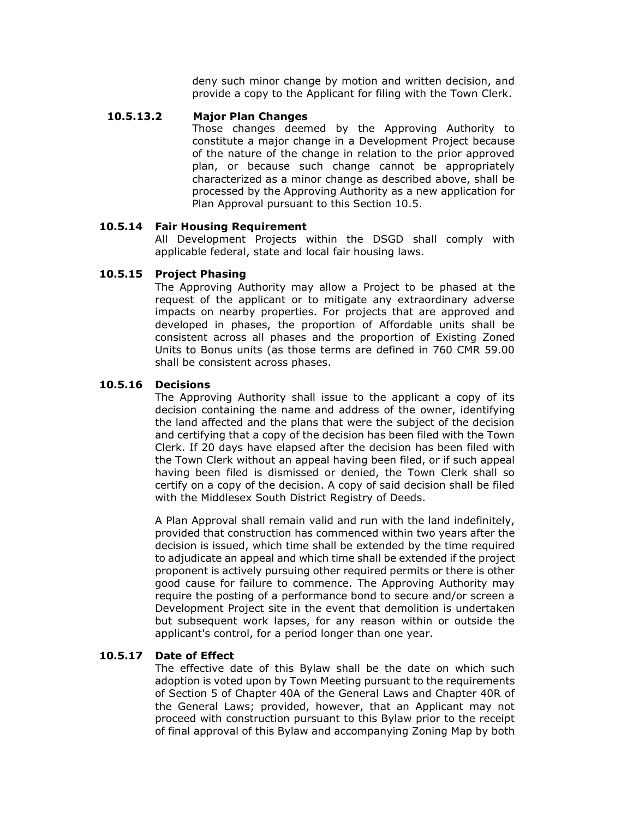deny such minor change by motion and written decision, and provide a copy to the Applicant for filing with the Town Clerk.

#### **10.5.13.2 Major Plan Changes**

Those changes deemed by the Approving Authority to constitute a major change in a Development Project because of the nature of the change in relation to the prior approved plan, or because such change cannot be appropriately characterized as a minor change as described above, shall be processed by the Approving Authority as a new application for Plan Approval pursuant to this Section 10.5.

#### **10.5.14 Fair Housing Requirement**

All Development Projects within the DSGD shall comply with applicable federal, state and local fair housing laws.

#### **10.5.15 Project Phasing**

The Approving Authority may allow a Project to be phased at the request of the applicant or to mitigate any extraordinary adverse impacts on nearby properties. For projects that are approved and developed in phases, the proportion of Affordable units shall be consistent across all phases and the proportion of Existing Zoned Units to Bonus units (as those terms are defined in 760 CMR 59.00 shall be consistent across phases.

#### **10.5.16 Decisions**

The Approving Authority shall issue to the applicant a copy of its decision containing the name and address of the owner, identifying the land affected and the plans that were the subject of the decision and certifying that a copy of the decision has been filed with the Town Clerk. If 20 days have elapsed after the decision has been filed with the Town Clerk without an appeal having been filed, or if such appeal having been filed is dismissed or denied, the Town Clerk shall so certify on a copy of the decision. A copy of said decision shall be filed with the Middlesex South District Registry of Deeds.

A Plan Approval shall remain valid and run with the land indefinitely, provided that construction has commenced within two years after the decision is issued, which time shall be extended by the time required to adjudicate an appeal and which time shall be extended if the project proponent is actively pursuing other required permits or there is other good cause for failure to commence. The Approving Authority may require the posting of a performance bond to secure and/or screen a Development Project site in the event that demolition is undertaken but subsequent work lapses, for any reason within or outside the applicant's control, for a period longer than one year.

#### **10.5.17 Date of Effect**

The effective date of this Bylaw shall be the date on which such adoption is voted upon by Town Meeting pursuant to the requirements of Section 5 of Chapter 40A of the General Laws and Chapter 40R of the General Laws; provided, however, that an Applicant may not proceed with construction pursuant to this Bylaw prior to the receipt of final approval of this Bylaw and accompanying Zoning Map by both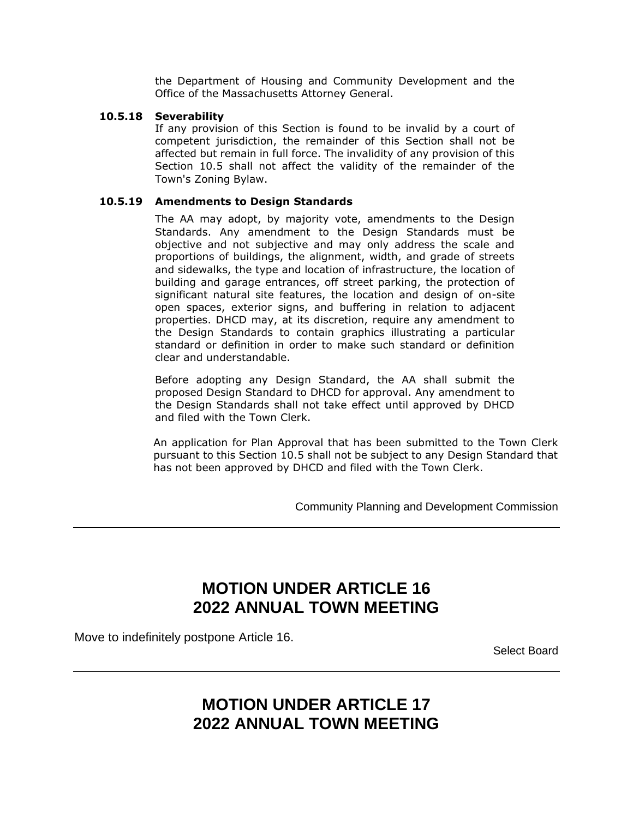the Department of Housing and Community Development and the Office of the Massachusetts Attorney General.

#### **10.5.18 Severability**

If any provision of this Section is found to be invalid by a court of competent jurisdiction, the remainder of this Section shall not be affected but remain in full force. The invalidity of any provision of this Section 10.5 shall not affect the validity of the remainder of the Town's Zoning Bylaw.

#### **10.5.19 Amendments to Design Standards**

The AA may adopt, by majority vote, amendments to the Design Standards. Any amendment to the Design Standards must be objective and not subjective and may only address the scale and proportions of buildings, the alignment, width, and grade of streets and sidewalks, the type and location of infrastructure, the location of building and garage entrances, off street parking, the protection of significant natural site features, the location and design of on-site open spaces, exterior signs, and buffering in relation to adjacent properties. DHCD may, at its discretion, require any amendment to the Design Standards to contain graphics illustrating a particular standard or definition in order to make such standard or definition clear and understandable.

Before adopting any Design Standard, the AA shall submit the proposed Design Standard to DHCD for approval. Any amendment to the Design Standards shall not take effect until approved by DHCD and filed with the Town Clerk.

An application for Plan Approval that has been submitted to the Town Clerk pursuant to this Section 10.5 shall not be subject to any Design Standard that has not been approved by DHCD and filed with the Town Clerk.

Community Planning and Development Commission

## **MOTION UNDER ARTICLE 16 2022 ANNUAL TOWN MEETING**

Move to indefinitely postpone Article 16.

Select Board

### **MOTION UNDER ARTICLE 17 2022 ANNUAL TOWN MEETING**